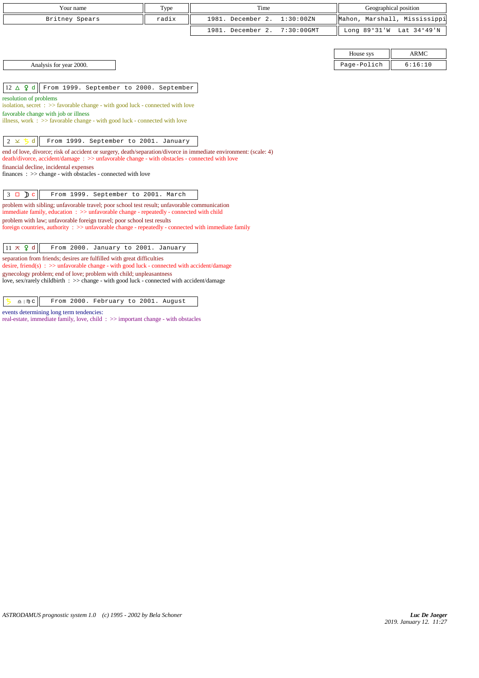| Your name                                                                                                                                                                                                        | Type  | Time              |               |             | Geographical position        |
|------------------------------------------------------------------------------------------------------------------------------------------------------------------------------------------------------------------|-------|-------------------|---------------|-------------|------------------------------|
| Britney Spears                                                                                                                                                                                                   | radix | 1981. December 2. | 1:30:00ZN     |             | Mahon, Marshall, Mississippi |
|                                                                                                                                                                                                                  |       | 1981. December 2. | $7:30:00$ GMT |             | Long 89°31'W Lat 34°49'N     |
|                                                                                                                                                                                                                  |       |                   |               |             |                              |
|                                                                                                                                                                                                                  |       |                   |               | House sys   | <b>ARMC</b>                  |
| Analysis for year 2000.                                                                                                                                                                                          |       |                   |               | Page-Polich | 6:16:10                      |
|                                                                                                                                                                                                                  |       |                   |               |             |                              |
| $12 \Delta$ 9 d<br>From 1999. September to 2000. September                                                                                                                                                       |       |                   |               |             |                              |
| resolution of problems<br>isolation, secret : >> favorable change - with good luck - connected with love                                                                                                         |       |                   |               |             |                              |
| favorable change with job or illness                                                                                                                                                                             |       |                   |               |             |                              |
| illness, work $\Rightarrow$ 5 avorable change - with good luck - connected with love                                                                                                                             |       |                   |               |             |                              |
|                                                                                                                                                                                                                  |       |                   |               |             |                              |
| From 1999. September to 2001. January<br>$2 \times$                                                                                                                                                              |       |                   |               |             |                              |
| end of love, divorce; risk of accident or surgery, death/separation/divorce in immediate environment: (scale: 4)<br>death/divorce, accident/damage: >> unfavorable change - with obstacles - connected with love |       |                   |               |             |                              |
| financial decline, incidental expenses                                                                                                                                                                           |       |                   |               |             |                              |
| finances : $\gg$ change - with obstacles - connected with love                                                                                                                                                   |       |                   |               |             |                              |
|                                                                                                                                                                                                                  |       |                   |               |             |                              |
| $3 \Box$ D c<br>From 1999. September to 2001. March                                                                                                                                                              |       |                   |               |             |                              |
| problem with sibling; unfavorable travel; poor school test result; unfavorable communication<br>immediate family, education : >> unfavorable change - repeatedly - connected with child                          |       |                   |               |             |                              |
| problem with law; unfavorable foreign travel; poor school test results                                                                                                                                           |       |                   |               |             |                              |
| foreign countries, authority : >> unfavorable change - repeatedly - connected with immediate family                                                                                                              |       |                   |               |             |                              |
|                                                                                                                                                                                                                  |       |                   |               |             |                              |
| $11 \times 9$ d<br>From 2000. January to 2001. January                                                                                                                                                           |       |                   |               |             |                              |
| separation from friends; desires are fulfilled with great difficulties<br>desire, friend(s) : $\gg$ unfavorable change - with good luck - connected with accident/damage                                         |       |                   |               |             |                              |
| gynecology problem; end of love; problem with child; unpleasantness<br>love, sex/rarely childbirth : >> change - with good luck - connected with accident/damage                                                 |       |                   |               |             |                              |
| From 2000. February to 2001. August<br>$\underline{\Omega}$   $\mathfrak{m}$ C                                                                                                                                   |       |                   |               |             |                              |

events determining long term tendencies:

real-estate, immediate family, love, child : >> important change - with obstacles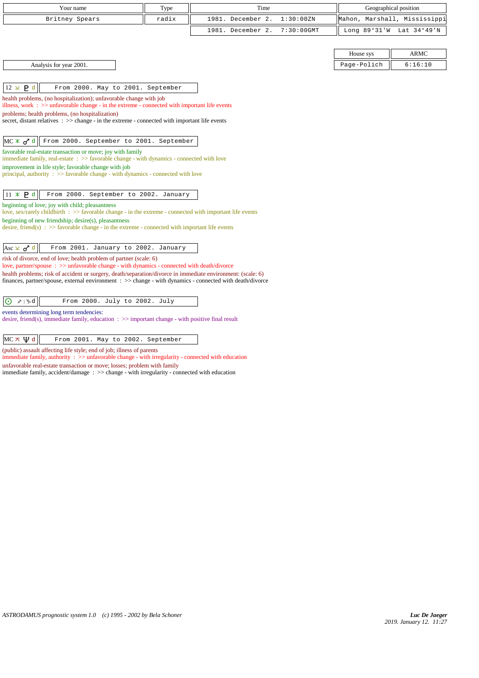| Your name                                                                                                                                                                                                 | Type  | Time                               |             | Geographical position    |
|-----------------------------------------------------------------------------------------------------------------------------------------------------------------------------------------------------------|-------|------------------------------------|-------------|--------------------------|
| Britney Spears                                                                                                                                                                                            | radix | 1981. December 2.<br>1:30:00ZN     | Mahon,      | Marshall, Mississippi    |
|                                                                                                                                                                                                           |       | 1981. December 2.<br>$7:30:00$ GMT |             | Long 89°31'W Lat 34°49'N |
|                                                                                                                                                                                                           |       |                                    |             |                          |
|                                                                                                                                                                                                           |       |                                    | House sys   | <b>ARMC</b>              |
| Analysis for year 2001.                                                                                                                                                                                   |       |                                    | Page-Polich | 6:16:10                  |
|                                                                                                                                                                                                           |       |                                    |             |                          |
| $12 \times P d$<br>From 2000. May to 2001. September                                                                                                                                                      |       |                                    |             |                          |
| health problems, (no hospitalization); unfavorable change with job<br>illness, work $\Rightarrow$ > unfavorable change - in the extreme - connected with important life events                            |       |                                    |             |                          |
| problems; health problems, (no hospitalization)                                                                                                                                                           |       |                                    |             |                          |
| secret, distant relatives $\therefore$ $\gg$ change - in the extreme - connected with important life events                                                                                               |       |                                    |             |                          |
| From 2000. September to 2001. September<br>$MC \times d^d$                                                                                                                                                |       |                                    |             |                          |
| favorable real-estate transaction or move; joy with family                                                                                                                                                |       |                                    |             |                          |
| immediate family, real-estate : >> favorable change - with dynamics - connected with love                                                                                                                 |       |                                    |             |                          |
| improvement in life style; favorable change with job<br>principal, authority $\Rightarrow$ Savorable change - with dynamics - connected with love                                                         |       |                                    |             |                          |
|                                                                                                                                                                                                           |       |                                    |             |                          |
| $11 \times P d$<br>From 2000. September to 2002. January                                                                                                                                                  |       |                                    |             |                          |
| beginning of love; joy with child; pleasantness<br>love, sex/rarely childbirth : $\gg$ favorable change - in the extreme - connected with important life events                                           |       |                                    |             |                          |
| beginning of new friendship; $desire(s)$ , pleasantness<br>desire, friend(s) : $\gg$ favorable change - in the extreme - connected with important life events                                             |       |                                    |             |                          |
|                                                                                                                                                                                                           |       |                                    |             |                          |
| From 2001. January to 2002. January<br>Asc $\times$ $\sigma$ <sup>d</sup>                                                                                                                                 |       |                                    |             |                          |
| risk of divorce, end of love; health problem of partner (scale: 6)                                                                                                                                        |       |                                    |             |                          |
| love, partner/spouse: >> unfavorable change - with dynamics - connected with death/divorce<br>health problems; risk of accident or surgery, death/separation/divorce in immediate environment: (scale: 6) |       |                                    |             |                          |
| finances, partner/spouse, external environment : >> change - with dynamics - connected with death/divorce                                                                                                 |       |                                    |             |                          |
|                                                                                                                                                                                                           |       |                                    |             |                          |
| $x\!\!\!\!\!/\;\; \;\mathcal{V}\!\!\!\!/\;\;d$<br>From 2000. July to 2002. July<br>$\odot$                                                                                                                |       |                                    |             |                          |
| events determining long term tendencies:<br>desire, friend(s), immediate family, education $\therefore$ $\gg$ important change - with positive final result                                               |       |                                    |             |                          |
|                                                                                                                                                                                                           |       |                                    |             |                          |

 $MC \times \Psi d$  From 2001. May to 2002. September

(public) assault affecting life style; end of job; illness of parents immediate family, authority : >> unfavorable change - with irregularity - connected with education unfavorable real-estate transaction or move; losses; problem with family

immediate family, accident/damage : >> change - with irregularity - connected with education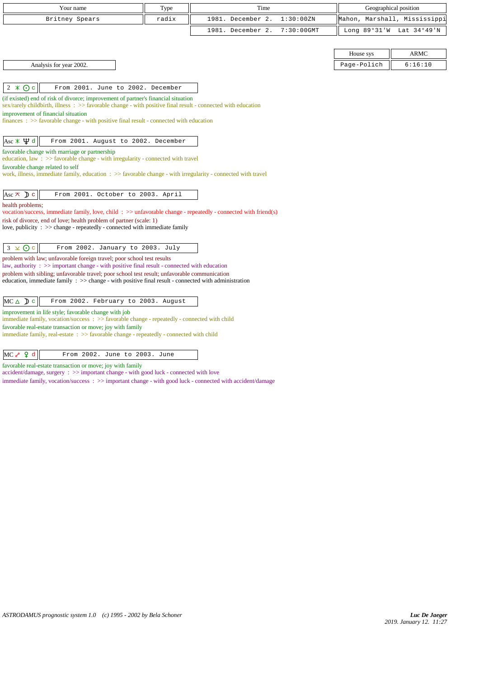| Your name                                                                                                                                                                                                       | Type  | Time              |               |             | Geographical position        |
|-----------------------------------------------------------------------------------------------------------------------------------------------------------------------------------------------------------------|-------|-------------------|---------------|-------------|------------------------------|
| Britney Spears                                                                                                                                                                                                  | radix | 1981. December 2. | 1:30:00ZN     |             | Mahon, Marshall, Mississippi |
|                                                                                                                                                                                                                 |       | 1981. December 2. | $7:30:00$ GMT |             | Long 89°31'W Lat 34°49'N     |
|                                                                                                                                                                                                                 |       |                   |               |             |                              |
|                                                                                                                                                                                                                 |       |                   |               | House sys   | <b>ARMC</b>                  |
| Analysis for year 2002.                                                                                                                                                                                         |       |                   |               | Page-Polich | 6:16:10                      |
|                                                                                                                                                                                                                 |       |                   |               |             |                              |
| From 2001. June to 2002. December<br>$2 \times 0c$                                                                                                                                                              |       |                   |               |             |                              |
| (if existed) end of risk of divorce; improvement of partner's financial situation                                                                                                                               |       |                   |               |             |                              |
| $sex/rarely childbirth$ , illness : $>>$ favorable change - with positive final result - connected with education<br>improvement of financial situation                                                         |       |                   |               |             |                              |
| $finances: >> favorable change - with positive final result - connected with education$                                                                                                                         |       |                   |               |             |                              |
|                                                                                                                                                                                                                 |       |                   |               |             |                              |
| $\text{Asc} \times \Psi$ d<br>From 2001. August to 2002. December                                                                                                                                               |       |                   |               |             |                              |
| favorable change with marriage or partnership<br>education, law : $\gg$ favorable change - with irregularity - connected with travel                                                                            |       |                   |               |             |                              |
| favorable change related to self                                                                                                                                                                                |       |                   |               |             |                              |
| work, illness, immediate family, education $\Rightarrow$ > favorable change - with irregularity - connected with travel                                                                                         |       |                   |               |             |                              |
|                                                                                                                                                                                                                 |       |                   |               |             |                              |
| Asc $\pi$ D c<br>From 2001. October to 2003. April                                                                                                                                                              |       |                   |               |             |                              |
| health problems;<br>vocation/success, immediate family, love, child: >> unfavorable change - repeatedly - connected with friend(s)                                                                              |       |                   |               |             |                              |
| risk of divorce, end of love; health problem of partner (scale: 1)                                                                                                                                              |       |                   |               |             |                              |
| love, publicity : $\gg$ change - repeatedly - connected with immediate family                                                                                                                                   |       |                   |               |             |                              |
|                                                                                                                                                                                                                 |       |                   |               |             |                              |
| $3 \times 0c$<br>From 2002. January to 2003. July<br>problem with law; unfavorable foreign travel; poor school test results                                                                                     |       |                   |               |             |                              |
| law, authority : $\gg$ important change - with positive final result - connected with education                                                                                                                 |       |                   |               |             |                              |
| problem with sibling; unfavorable travel; poor school test result; unfavorable communication<br>education, immediate family $\Rightarrow$ > change - with positive final result - connected with administration |       |                   |               |             |                              |
|                                                                                                                                                                                                                 |       |                   |               |             |                              |
| From 2002. February to 2003. August<br>$MC \triangle D c$                                                                                                                                                       |       |                   |               |             |                              |
| improvement in life style; favorable change with job                                                                                                                                                            |       |                   |               |             |                              |
| immediate family, vocation/success: >> favorable change - repeatedly - connected with child                                                                                                                     |       |                   |               |             |                              |
| favorable real-estate transaction or move; joy with family<br>immediate family, real-estate : >> favorable change - repeatedly - connected with child                                                           |       |                   |               |             |                              |
|                                                                                                                                                                                                                 |       |                   |               |             |                              |
|                                                                                                                                                                                                                 |       |                   |               |             |                              |

| $MC \sim Q d$ |  |  |  |  | From 2002. June to 2003. June |  |  |
|---------------|--|--|--|--|-------------------------------|--|--|
|---------------|--|--|--|--|-------------------------------|--|--|

favorable real-estate transaction or move; joy with family

accident/damage, surgery : >> important change - with good luck - connected with love

immediate family, vocation/success : >> important change - with good luck - connected with accident/damage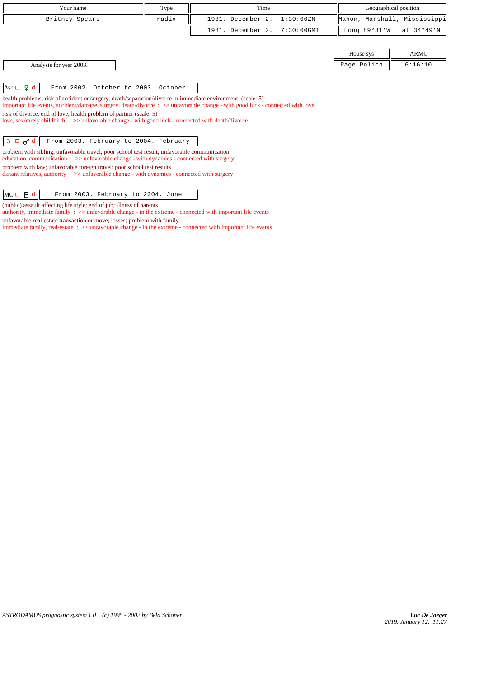| Your name                                                                                                                                                                                          | Type  | Time                            |                | Geographical position        |
|----------------------------------------------------------------------------------------------------------------------------------------------------------------------------------------------------|-------|---------------------------------|----------------|------------------------------|
| Britney Spears                                                                                                                                                                                     | radix | 1981. December 2.<br>1:30:00ZN  |                | Mahon, Marshall, Mississippi |
|                                                                                                                                                                                                    |       | 1981. December 2.<br>7:30:00GMT | Long $89°31'W$ | Lat 34°49'N                  |
|                                                                                                                                                                                                    |       |                                 |                |                              |
|                                                                                                                                                                                                    |       |                                 | House sys      | <b>ARMC</b>                  |
| Analysis for year 2003.                                                                                                                                                                            |       |                                 | Page-Polich    | 6:16:10                      |
|                                                                                                                                                                                                    |       |                                 |                |                              |
| Asc $\Box$ 9 d<br>From 2002. October to 2003. October                                                                                                                                              |       |                                 |                |                              |
| health problems; risk of accident or surgery, death/separation/divorce in immediate environment: (scale: 5)                                                                                        |       |                                 |                |                              |
| important life events, accident/damage, surgery, death/divorce: >> unfavorable change - with good luck - connected with love<br>risk of divorce, end of love; health problem of partner (scale: 5) |       |                                 |                |                              |
| love, sex/rarely childbirth : >> unfavorable change - with good luck - connected with death/divorce                                                                                                |       |                                 |                |                              |
|                                                                                                                                                                                                    |       |                                 |                |                              |
| $3 \Box \sigma d$<br>From 2003. February to 2004. February                                                                                                                                         |       |                                 |                |                              |
| problem with sibling; unfavorable travel; poor school test result; unfavorable communication<br>education, communication : >> unfavorable change - with dynamics - connected with surgery          |       |                                 |                |                              |
| problem with law; unfavorable foreign travel; poor school test results                                                                                                                             |       |                                 |                |                              |
| distant relatives, authority $\therefore$ >> unfavorable change - with dynamics - connected with surgery                                                                                           |       |                                 |                |                              |
| $MC \Box P d$<br>From 2003. February to 2004. June                                                                                                                                                 |       |                                 |                |                              |

*ASTRODAMUS prognostic system 1.0 (c) 1995 - 2002 by Bela Schoner*

(public) assault affecting life style; end of job; illness of parents

unfavorable real-estate transaction or move; losses; problem with family

authority, immediate family : >> unfavorable change - in the extreme - connected with important life events

immediate family, real-estate : >> unfavorable change - in the extreme - connected with important life events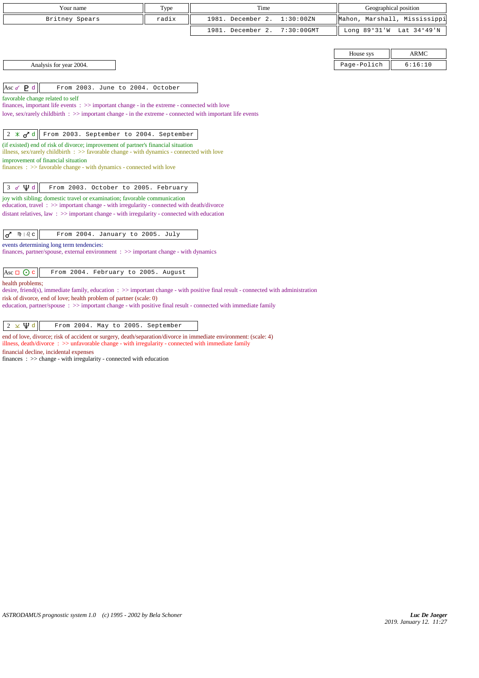| Your name                                                                                                                                                                                                                     | Type  | Time                               |                              | Geographical position |
|-------------------------------------------------------------------------------------------------------------------------------------------------------------------------------------------------------------------------------|-------|------------------------------------|------------------------------|-----------------------|
| Britney Spears                                                                                                                                                                                                                | radix | 1981. December 2.<br>1:30:00ZN     | Mahon, Marshall, Mississippi |                       |
|                                                                                                                                                                                                                               |       | 1981. December 2.<br>$7:30:00$ GMT | Long 89°31'W Lat 34°49'N     |                       |
|                                                                                                                                                                                                                               |       |                                    |                              |                       |
|                                                                                                                                                                                                                               |       |                                    | House sys                    | <b>ARMC</b>           |
| Analysis for year 2004.                                                                                                                                                                                                       |       |                                    | Page-Polich                  | 6:16:10               |
|                                                                                                                                                                                                                               |       |                                    |                              |                       |
| Asc $\sigma$ $\mathbf{P}$ d<br>From 2003. June to 2004. October                                                                                                                                                               |       |                                    |                              |                       |
| favorable change related to self                                                                                                                                                                                              |       |                                    |                              |                       |
| finances, important life events $\Rightarrow$ > important change - in the extreme - connected with love<br>love, sex/rarely childbirth $\Rightarrow$ important change - in the extreme - connected with important life events |       |                                    |                              |                       |
|                                                                                                                                                                                                                               |       |                                    |                              |                       |
| $2 \times \sigma d$   From 2003. September to 2004. September                                                                                                                                                                 |       |                                    |                              |                       |
| (if existed) end of risk of divorce; improvement of partner's financial situation<br>illness, sex/rarely childbirth $\Rightarrow$ S favorable change - with dynamics - connected with love                                    |       |                                    |                              |                       |
| improvement of financial situation<br>$finances : \gg$ favorable change - with dynamics - connected with love                                                                                                                 |       |                                    |                              |                       |
|                                                                                                                                                                                                                               |       |                                    |                              |                       |
| $3 \times \Psi d$<br>From 2003. October to 2005. February                                                                                                                                                                     |       |                                    |                              |                       |
| joy with sibling; domestic travel or examination; favorable communication<br>education, travel: >> important change - with irregularity - connected with death/divorce                                                        |       |                                    |                              |                       |
| distant relatives, law $\Rightarrow$ important change - with irregularity - connected with education                                                                                                                          |       |                                    |                              |                       |
|                                                                                                                                                                                                                               |       |                                    |                              |                       |
| $m \mid \partial_c c \mid$<br>From 2004. January to 2005. July<br>♂                                                                                                                                                           |       |                                    |                              |                       |
| events determining long term tendencies:<br>finances, partner/spouse, external environment $\Rightarrow$ important change - with dynamics                                                                                     |       |                                    |                              |                       |
| Asc $\Box$ $\odot$ c<br>From 2004. February to 2005. August                                                                                                                                                                   |       |                                    |                              |                       |
| health problems;                                                                                                                                                                                                              |       |                                    |                              |                       |

desire, friend(s), immediate family, education : >> important change - with positive final result - connected with administration

risk of divorce, end of love; health problem of partner (scale: 0) education, partner/spouse : >> important change - with positive final result - connected with immediate family

# $\sqrt{2 \times \Psi d}$  From 2004. May to 2005. September

end of love, divorce; risk of accident or surgery, death/separation/divorce in immediate environment: (scale: 4) illness, death/divorce : >> unfavorable change - with irregularity - connected with immediate family

financial decline, incidental expenses

finances : >> change - with irregularity - connected with education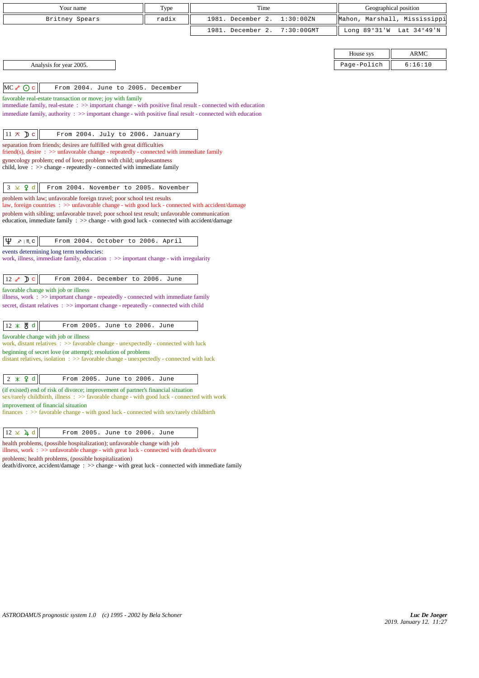| Your name                                                                                                                                                                                                                                                                                         | Type  | Time              |               |             | Geographical position        |
|---------------------------------------------------------------------------------------------------------------------------------------------------------------------------------------------------------------------------------------------------------------------------------------------------|-------|-------------------|---------------|-------------|------------------------------|
| Britney Spears                                                                                                                                                                                                                                                                                    | radix | 1981. December 2. | 1:30:00ZN     |             | Mahon, Marshall, Mississippi |
|                                                                                                                                                                                                                                                                                                   |       | 1981. December 2. | $7:30:00$ GMT |             | Long 89°31'W Lat 34°49'N     |
|                                                                                                                                                                                                                                                                                                   |       |                   |               |             |                              |
|                                                                                                                                                                                                                                                                                                   |       |                   |               | House sys   | ARMC                         |
| Analysis for year 2005.                                                                                                                                                                                                                                                                           |       |                   |               | Page-Polich | 6:16:10                      |
|                                                                                                                                                                                                                                                                                                   |       |                   |               |             |                              |
| $MC \rightarrow \odot c$<br>From 2004. June to 2005. December                                                                                                                                                                                                                                     |       |                   |               |             |                              |
| favorable real-estate transaction or move; joy with family<br>immediate family, real-estate : >> important change - with positive final result - connected with education<br>immediate family, authority $\therefore$ >> important change - with positive final result - connected with education |       |                   |               |             |                              |
| $11 \times Dc$<br>From 2004. July to 2006. January                                                                                                                                                                                                                                                |       |                   |               |             |                              |
| separation from friends; desires are fulfilled with great difficulties                                                                                                                                                                                                                            |       |                   |               |             |                              |
| $\text{friend}(s)$ , desire : $\gg$ unfavorable change - repeatedly - connected with immediate family<br>gynecology problem; end of love; problem with child; unpleasantness                                                                                                                      |       |                   |               |             |                              |
| child, love $\Rightarrow$ >> change - repeatedly - connected with immediate family                                                                                                                                                                                                                |       |                   |               |             |                              |
|                                                                                                                                                                                                                                                                                                   |       |                   |               |             |                              |
| $3 \times 9d$<br>From 2004. November to 2005. November                                                                                                                                                                                                                                            |       |                   |               |             |                              |
| problem with law; unfavorable foreign travel; poor school test results<br>law, foreign countries : >> unfavorable change - with good luck - connected with accident/damage                                                                                                                        |       |                   |               |             |                              |
| problem with sibling; unfavorable travel; poor school test result; unfavorable communication                                                                                                                                                                                                      |       |                   |               |             |                              |
| education, immediate family $\Rightarrow$ change - with good luck - connected with accident/damage                                                                                                                                                                                                |       |                   |               |             |                              |
| Ψ<br>$x \mid \mathfrak{m} \subset$<br>From 2004. October to 2006. April                                                                                                                                                                                                                           |       |                   |               |             |                              |
| events determining long term tendencies:                                                                                                                                                                                                                                                          |       |                   |               |             |                              |
| work, illness, immediate family, education $\therefore$ >> important change - with irregularity                                                                                                                                                                                                   |       |                   |               |             |                              |
| $12 \times D$ c<br>From 2004. December to 2006. June                                                                                                                                                                                                                                              |       |                   |               |             |                              |
| favorable change with job or illness                                                                                                                                                                                                                                                              |       |                   |               |             |                              |
| illness, work : >> important change - repeatedly - connected with immediate family                                                                                                                                                                                                                |       |                   |               |             |                              |
| secret, distant relatives : >> important change - repeatedly - connected with child                                                                                                                                                                                                               |       |                   |               |             |                              |
| 12 * 苫 d<br>From 2005. June to 2006. June                                                                                                                                                                                                                                                         |       |                   |               |             |                              |
| favorable change with job or illness                                                                                                                                                                                                                                                              |       |                   |               |             |                              |
| work, distant relatives $\therefore$ > favorable change - unexpectedly - connected with luck                                                                                                                                                                                                      |       |                   |               |             |                              |
| beginning of secret love (or attempt); resolution of problems<br>distant relatives, isolation : >> favorable change - unexpectedly - connected with luck                                                                                                                                          |       |                   |               |             |                              |
|                                                                                                                                                                                                                                                                                                   |       |                   |               |             |                              |
| $2 * Q d$<br>From 2005. June to 2006. June                                                                                                                                                                                                                                                        |       |                   |               |             |                              |
| (if existed) end of risk of divorce; improvement of partner's financial situation<br>sex/rarely childbirth, illness $\Rightarrow$ favorable change - with good luck - connected with work                                                                                                         |       |                   |               |             |                              |
| improvement of financial situation                                                                                                                                                                                                                                                                |       |                   |               |             |                              |
| finances : $\gg$ favorable change - with good luck - connected with sex/rarely childbirth                                                                                                                                                                                                         |       |                   |               |             |                              |
| $12 \times 4$ d<br>From 2005. June to 2006. June                                                                                                                                                                                                                                                  |       |                   |               |             |                              |
| health problems, (possible hospitalization); unfavorable change with job                                                                                                                                                                                                                          |       |                   |               |             |                              |
| illness, work $\Rightarrow$ unfavorable change - with great luck - connected with death/divorce<br>problems; health problems, (possible hospitalization)                                                                                                                                          |       |                   |               |             |                              |

death/divorce, accident/damage : >> change - with great luck - connected with immediate family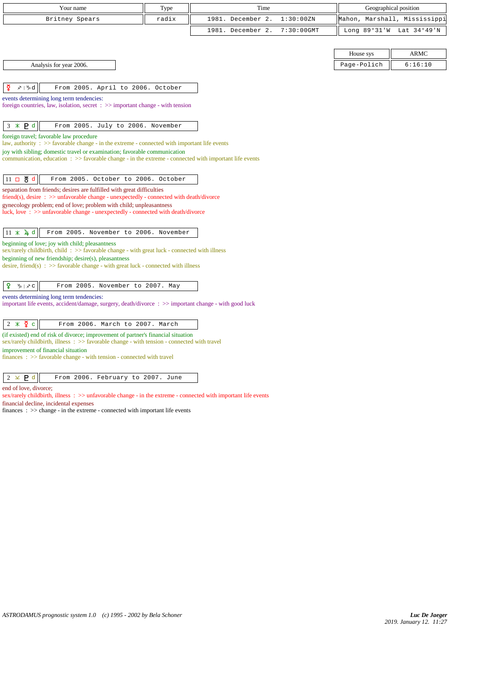| Your name                                                                                                                                                 | Type  | Time              |               |                | Geographical position |
|-----------------------------------------------------------------------------------------------------------------------------------------------------------|-------|-------------------|---------------|----------------|-----------------------|
| Britney Spears                                                                                                                                            | radix | 1981. December 2. | 1:30:00 ZN    | Mahon,         | Marshall, Mississippi |
|                                                                                                                                                           |       | 1981. December 2. | $7:30:00$ GMT | Long $89°31'W$ | Lat 34°49'N           |
|                                                                                                                                                           |       |                   |               |                |                       |
|                                                                                                                                                           |       |                   |               | House sys      | <b>ARMC</b>           |
| Analysis for year 2006.                                                                                                                                   |       |                   |               | Page-Polich    | 6:16:10               |
|                                                                                                                                                           |       |                   |               |                |                       |
| ₽<br>$x \upharpoonright y$ d<br>From 2005. April to 2006. October                                                                                         |       |                   |               |                |                       |
| events determining long term tendencies:<br>foreign countries, law, isolation, secret $\Rightarrow$ important change - with tension                       |       |                   |               |                |                       |
|                                                                                                                                                           |       |                   |               |                |                       |
| $3 * P d$<br>From 2005. July to 2006. November                                                                                                            |       |                   |               |                |                       |
| foreign travel; favorable law procedure<br>law, authority : $\gg$ favorable change - in the extreme - connected with important life events                |       |                   |               |                |                       |
| joy with sibling; domestic travel or examination; favorable communication                                                                                 |       |                   |               |                |                       |
| communication, education $\Rightarrow$ S favorable change - in the extreme - connected with important life events                                         |       |                   |               |                |                       |
| $11$ 口 当 d<br>From 2005. October to 2006. October                                                                                                         |       |                   |               |                |                       |
| separation from friends; desires are fulfilled with great difficulties                                                                                    |       |                   |               |                |                       |
| $\text{friend}(s)$ , desire : $\gg$ unfavorable change - unexpectedly - connected with death/divorce                                                      |       |                   |               |                |                       |
| gynecology problem; end of love; problem with child; unpleasantness<br>luck, love: $\gg$ unfavorable change - unexpectedly - connected with death/divorce |       |                   |               |                |                       |
|                                                                                                                                                           |       |                   |               |                |                       |
| $11 \times 4d$<br>From 2005. November to 2006. November                                                                                                   |       |                   |               |                |                       |
| beginning of love; joy with child; pleasantness<br>sex/rarely childbirth, child: >> favorable change - with great luck - connected with illness           |       |                   |               |                |                       |
| beginning of new friendship; desire(s), pleasantness                                                                                                      |       |                   |               |                |                       |
| desire, friend(s) : $\gg$ favorable change - with great luck - connected with illness                                                                     |       |                   |               |                |                       |
| ¥.<br>From 2005. November to 2007. May<br>$\psi \mid x \in$                                                                                               |       |                   |               |                |                       |
| events determining long term tendencies:                                                                                                                  |       |                   |               |                |                       |
| important life events, accident/damage, surgery, death/divorce : >> important change - with good luck                                                     |       |                   |               |                |                       |
| $2 * \xi$<br>From 2006. March to 2007. March                                                                                                              |       |                   |               |                |                       |
| (if existed) end of risk of divorce; improvement of partner's financial situation                                                                         |       |                   |               |                |                       |
| sex/rarely childbirth, illness $\Rightarrow$ favorable change - with tension - connected with travel                                                      |       |                   |               |                |                       |
| improvement of financial situation<br>$finances : \gg$ favorable change - with tension - connected with travel                                            |       |                   |               |                |                       |
|                                                                                                                                                           |       |                   |               |                |                       |

| $2 \times P d$ | From 2006. February to 2007. June |  |  |  |  |
|----------------|-----------------------------------|--|--|--|--|
|----------------|-----------------------------------|--|--|--|--|

end of love, divorce;

sex/rarely childbirth, illness :  $>$  unfavorable change - in the extreme - connected with important life events

financial decline, incidental expenses

finances :  $\gg$  change - in the extreme - connected with important life events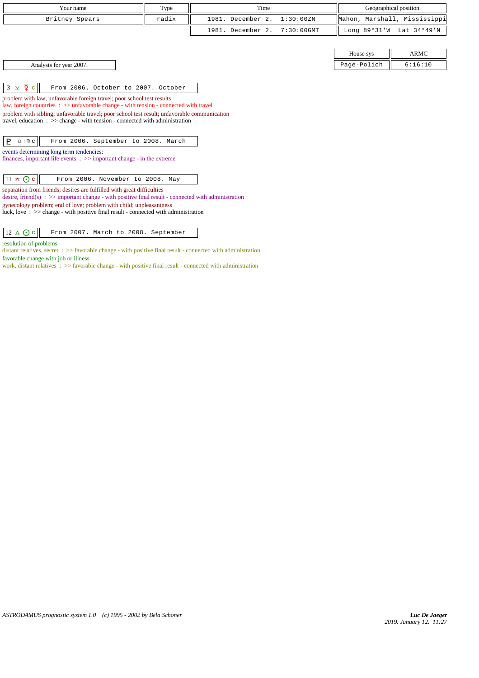| Your name                                                                                                                                                                                                                                                                                                                                                                                                                                                                                                                                                                                                                                               | Type  | Time              |               |             | Geographical position        |
|---------------------------------------------------------------------------------------------------------------------------------------------------------------------------------------------------------------------------------------------------------------------------------------------------------------------------------------------------------------------------------------------------------------------------------------------------------------------------------------------------------------------------------------------------------------------------------------------------------------------------------------------------------|-------|-------------------|---------------|-------------|------------------------------|
| Britney Spears                                                                                                                                                                                                                                                                                                                                                                                                                                                                                                                                                                                                                                          | radix | 1981. December 2. | 1:30:00ZN     |             | Mahon, Marshall, Mississippi |
|                                                                                                                                                                                                                                                                                                                                                                                                                                                                                                                                                                                                                                                         |       | 1981. December 2. | $7:30:00$ GMT |             | Long 89°31'W Lat 34°49'N     |
|                                                                                                                                                                                                                                                                                                                                                                                                                                                                                                                                                                                                                                                         |       |                   |               |             |                              |
|                                                                                                                                                                                                                                                                                                                                                                                                                                                                                                                                                                                                                                                         |       |                   |               | House sys   | <b>ARMC</b>                  |
| Analysis for year 2007.                                                                                                                                                                                                                                                                                                                                                                                                                                                                                                                                                                                                                                 |       |                   |               | Page-Polich | 6:16:10                      |
| $3 \times \xi$ c<br>From 2006. October to 2007. October<br>problem with law; unfavorable foreign travel; poor school test results<br>law, foreign countries $\Rightarrow$ unfavorable change - with tension - connected with travel<br>problem with sibling; unfavorable travel; poor school test result; unfavorable communication<br>travel, education $\Rightarrow$ >> change - with tension - connected with administration<br>$\underline{\Omega}$   $\mathbb{D}$ C<br>From 2006. September to 2008. March<br>P.<br>events determining long term tendencies:<br>finances, important life events $\Rightarrow$ >> important change - in the extreme |       |                   |               |             |                              |
| $11 \times Qc$<br>From 2006. November to 2008. May                                                                                                                                                                                                                                                                                                                                                                                                                                                                                                                                                                                                      |       |                   |               |             |                              |
| separation from friends; desires are fulfilled with great difficulties<br>desire, friend(s) $\Rightarrow$ >> important change - with positive final result - connected with administration<br>gynecology problem; end of love; problem with child; unpleasantness<br>luck, love: $\gg$ change - with positive final result - connected with administration                                                                                                                                                                                                                                                                                              |       |                   |               |             |                              |

 $12 \triangle C$  From 2007. March to 2008. September

resolution of problems

distant relatives, secret : >> favorable change - with positive final result - connected with administration

favorable change with job or illness

work, distant relatives : >> favorable change - with positive final result - connected with administration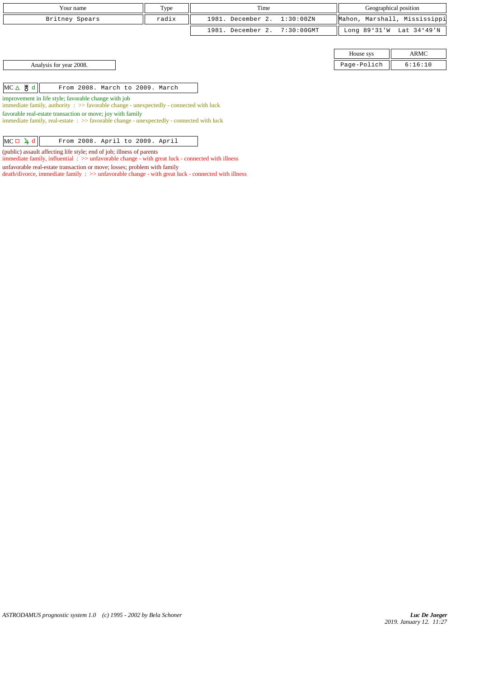| Your name      | Type  | Time                         | Geographical position        |
|----------------|-------|------------------------------|------------------------------|
| Britney Spears | radix | 1981. December 2. 1:30:00ZN  | Mahon, Marshall, Mississippi |
|                |       | 1981. December 2. 7:30:00GMT | Long 89°31'W Lat 34°49'N     |

Analysis for year 2008. Page-Polich 6:16:10

 $MC \triangle \big\|$  From 2008. March to 2009. March

improvement in life style; favorable change with job

immediate family, authority : >> favorable change - unexpectedly - connected with luck

favorable real-estate transaction or move; joy with family

immediate family, real-estate : >> favorable change - unexpectedly - connected with luck

| From 2008. April to 2009. April | $MC \Box 4 d$ |  |  |  |  |  |  |
|---------------------------------|---------------|--|--|--|--|--|--|
|---------------------------------|---------------|--|--|--|--|--|--|

(public) assault affecting life style; end of job; illness of parents

immediate family, influential :  $\gg$  unfavorable change - with great luck - connected with illness

unfavorable real-estate transaction or move; losses; problem with family

death/divorce, immediate family : >> unfavorable change - with great luck - connected with illness

House sys ARMC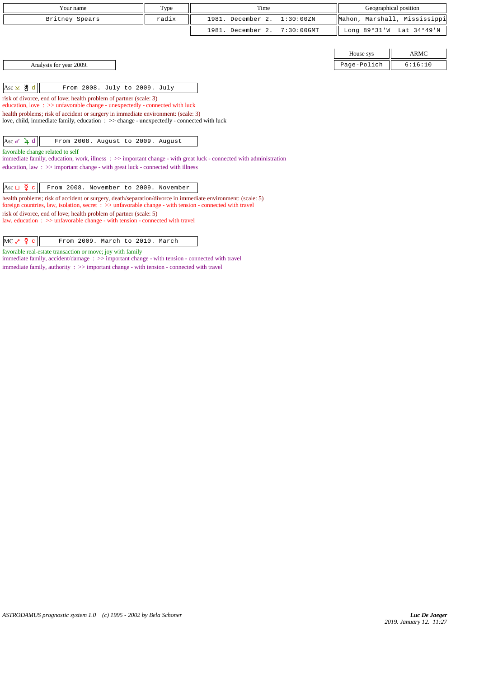| Your name                                                                                                                                                                                                                           | Type  | Time                               |              | Geographical position        |
|-------------------------------------------------------------------------------------------------------------------------------------------------------------------------------------------------------------------------------------|-------|------------------------------------|--------------|------------------------------|
| Britney Spears                                                                                                                                                                                                                      | radix | 1981. December 2.<br>1:30:00 ZN    |              | Mahon, Marshall, Mississippi |
|                                                                                                                                                                                                                                     |       | 1981. December 2.<br>$7:30:00$ GMT | Long 89°31'W | Lat 34°49'N                  |
|                                                                                                                                                                                                                                     |       |                                    |              |                              |
|                                                                                                                                                                                                                                     |       |                                    | House sys    | <b>ARMC</b>                  |
| Analysis for year 2009.                                                                                                                                                                                                             |       |                                    | Page-Polich  | 6:16:10                      |
|                                                                                                                                                                                                                                     |       |                                    |              |                              |
| $Asc \times \overset{\text{H}}{\circ} d$<br>From 2008. July to 2009. July                                                                                                                                                           |       |                                    |              |                              |
| risk of divorce, end of love; health problem of partner (scale: 3)                                                                                                                                                                  |       |                                    |              |                              |
| education, love: $\gg$ unfavorable change - unexpectedly - connected with luck                                                                                                                                                      |       |                                    |              |                              |
| health problems; risk of accident or surgery in immediate environment: (scale: 3)<br>love, child, immediate family, education $\Rightarrow$ > change - unexpectedly - connected with luck                                           |       |                                    |              |                              |
|                                                                                                                                                                                                                                     |       |                                    |              |                              |
| Asc $\sim$ 4 d<br>From 2008. August to 2009. August                                                                                                                                                                                 |       |                                    |              |                              |
| favorable change related to self                                                                                                                                                                                                    |       |                                    |              |                              |
| immediate family, education, work, illness $\Rightarrow$ important change - with great luck - connected with administration                                                                                                         |       |                                    |              |                              |
| education, law : $\gg$ important change - with great luck - connected with illness                                                                                                                                                  |       |                                    |              |                              |
|                                                                                                                                                                                                                                     |       |                                    |              |                              |
| Asc $\Box$ $\zeta$ c<br>From 2008. November to 2009. November                                                                                                                                                                       |       |                                    |              |                              |
| health problems; risk of accident or surgery, death/separation/divorce in immediate environment: (scale: 5)<br>foreign countries, law, isolation, secret $\Rightarrow$ >> unfavorable change - with tension - connected with travel |       |                                    |              |                              |
| risk of divorce, end of love; health problem of partner (scale: 5)                                                                                                                                                                  |       |                                    |              |                              |

law, education : >> unfavorable change - with tension - connected with travel

favorable real-estate transaction or move; joy with family

immediate family, accident/damage : >> important change - with tension - connected with travel immediate family, authority : >> important change - with tension - connected with travel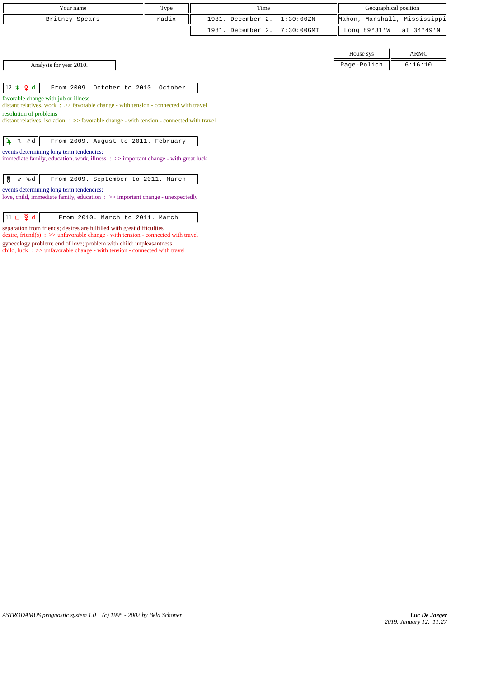| Your name      | Type  | Time                         | Geographical position                      |
|----------------|-------|------------------------------|--------------------------------------------|
| Britney Spears | radix | 1981. December 2. 1:30:00ZN  | Mahon, Marshall, Mississippi               |
|                |       | 1981. December 2. 7:30:00GMT | Long $89^{\circ}31'W$ Lat $34^{\circ}49'N$ |

| House sys  |         |
|------------|---------|
| age-Polich | 7 • 1 N |

Analysis for year 2010. Page-Polich 6:16:10

 $\|12 \times \mathfrak{g} \|$  From 2009. October to 2010. October

favorable change with job or illness

distant relatives, work : >> favorable change - with tension - connected with travel resolution of problems

distant relatives, isolation : >> favorable change - with tension - connected with travel

| $\frac{1}{4}$ M   x d   From 2009. August to 2011. February |
|-------------------------------------------------------------|
|-------------------------------------------------------------|

events determining long term tendencies:

immediate family, education, work, illness : >> important change - with great luck

|--|--|

### events determining long term tendencies:

love, child, immediate family, education : >> important change - unexpectedly

 $\boxed{11 \Box \Phi \Phi}$  From 2010. March to 2011. March

separation from friends; desires are fulfilled with great difficulties

desire, friend(s) :  $\gg$  unfavorable change - with tension - connected with travel gynecology problem; end of love; problem with child; unpleasantness

child, luck  $\therefore$  >> unfavorable change - with tension - connected with travel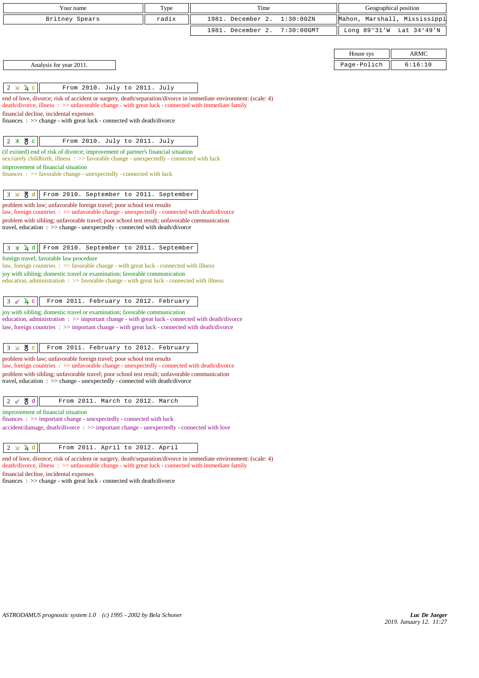| Your name                                                                                                                                                                                                                                                                                                                                    | Type  | Time              |               |                | Geographical position        |
|----------------------------------------------------------------------------------------------------------------------------------------------------------------------------------------------------------------------------------------------------------------------------------------------------------------------------------------------|-------|-------------------|---------------|----------------|------------------------------|
| Britney Spears                                                                                                                                                                                                                                                                                                                               | radix | 1981. December 2. | 1:30:00ZN     |                | Mahon, Marshall, Mississippi |
|                                                                                                                                                                                                                                                                                                                                              |       | 1981. December 2. | $7:30:00$ GMT | Long $89°31'W$ | Lat 34°49'N                  |
|                                                                                                                                                                                                                                                                                                                                              |       |                   |               |                |                              |
|                                                                                                                                                                                                                                                                                                                                              |       |                   |               | House sys      | <b>ARMC</b>                  |
| Analysis for year 2011.                                                                                                                                                                                                                                                                                                                      |       |                   |               | Page-Polich    | 6:16:10                      |
|                                                                                                                                                                                                                                                                                                                                              |       |                   |               |                |                              |
| $2 \times 4$<br>From 2010. July to 2011. July                                                                                                                                                                                                                                                                                                |       |                   |               |                |                              |
| end of love, divorce; risk of accident or surgery, death/separation/divorce in immediate environment: (scale: 4)<br>death/divorce, illness : >> unfavorable change - with great luck - connected with immediate family<br>financial decline, incidental expenses<br>finances : $\gg$ change - with great luck - connected with death/divorce |       |                   |               |                |                              |
| $2 * 8c$<br>From 2010. July to 2011. July                                                                                                                                                                                                                                                                                                    |       |                   |               |                |                              |
| (if existed) end of risk of divorce; improvement of partner's financial situation<br>sex/rarely childbirth, illness $\therefore$ > favorable change - unexpectedly - connected with luck                                                                                                                                                     |       |                   |               |                |                              |
| improvement of financial situation                                                                                                                                                                                                                                                                                                           |       |                   |               |                |                              |
| $finances : \gg$ favorable change - unexpectedly - connected with luck                                                                                                                                                                                                                                                                       |       |                   |               |                |                              |
| $3 \times 8d$<br>From 2010. September to 2011. September                                                                                                                                                                                                                                                                                     |       |                   |               |                |                              |
| problem with law; unfavorable foreign travel; poor school test results                                                                                                                                                                                                                                                                       |       |                   |               |                |                              |
| law, foreign countries $\Rightarrow$ >> unfavorable change - unexpectedly - connected with death/divorce                                                                                                                                                                                                                                     |       |                   |               |                |                              |
| problem with sibling; unfavorable travel; poor school test result; unfavorable communication<br>travel, education $\Rightarrow$ > change - unexpectedly - connected with death/divorce                                                                                                                                                       |       |                   |               |                |                              |
|                                                                                                                                                                                                                                                                                                                                              |       |                   |               |                |                              |
| From 2010. September to 2011. September<br>$3 \times 1 d$                                                                                                                                                                                                                                                                                    |       |                   |               |                |                              |
| foreign travel; favorable law procedure                                                                                                                                                                                                                                                                                                      |       |                   |               |                |                              |
| law, foreign countries : >> favorable change - with great luck - connected with illness<br>joy with sibling; domestic travel or examination; favorable communication                                                                                                                                                                         |       |                   |               |                |                              |
| education, administration $\Rightarrow$ Savorable change - with great luck - connected with illness                                                                                                                                                                                                                                          |       |                   |               |                |                              |
|                                                                                                                                                                                                                                                                                                                                              |       |                   |               |                |                              |
| $3 \times 4$<br>From 2011. February to 2012. February                                                                                                                                                                                                                                                                                        |       |                   |               |                |                              |
| joy with sibling; domestic travel or examination; favorable communication<br>education, administration: >> important change - with great luck - connected with death/divorce                                                                                                                                                                 |       |                   |               |                |                              |
| law, foreign countries : >> important change - with great luck - connected with death/divorce                                                                                                                                                                                                                                                |       |                   |               |                |                              |
|                                                                                                                                                                                                                                                                                                                                              |       |                   |               |                |                              |
| $3 \times 8^{\circ}$<br>From 2011. February to 2012. February                                                                                                                                                                                                                                                                                |       |                   |               |                |                              |
| problem with law; unfavorable foreign travel; poor school test results<br>law, foreign countries : >> unfavorable change - unexpectedly - connected with death/divorce                                                                                                                                                                       |       |                   |               |                |                              |
| problem with sibling; unfavorable travel; poor school test result; unfavorable communication                                                                                                                                                                                                                                                 |       |                   |               |                |                              |
| travel, education $\Rightarrow$ > change - unexpectedly - connected with death/divorce                                                                                                                                                                                                                                                       |       |                   |               |                |                              |
|                                                                                                                                                                                                                                                                                                                                              |       |                   |               |                |                              |
| ੴ d<br>2d<br>From 2011. March to 2012. March                                                                                                                                                                                                                                                                                                 |       |                   |               |                |                              |
| improvement of financial situation<br>$finances : \gg important change - unexpectedly - connected with luck$                                                                                                                                                                                                                                 |       |                   |               |                |                              |
| accident/damage, death/divorce: >> important change - unexpectedly - connected with love                                                                                                                                                                                                                                                     |       |                   |               |                |                              |
|                                                                                                                                                                                                                                                                                                                                              |       |                   |               |                |                              |
| $2 \times 4$ d<br>From 2011. April to 2012. April                                                                                                                                                                                                                                                                                            |       |                   |               |                |                              |
| end of love, divorce; risk of accident or surgery, death/separation/divorce in immediate environment: (scale: 4)<br>death/divorce, illness: >> unfavorable change - with great luck - connected with immediate family                                                                                                                        |       |                   |               |                |                              |

financial decline, incidental expenses

finances : >> change - with great luck - connected with death/divorce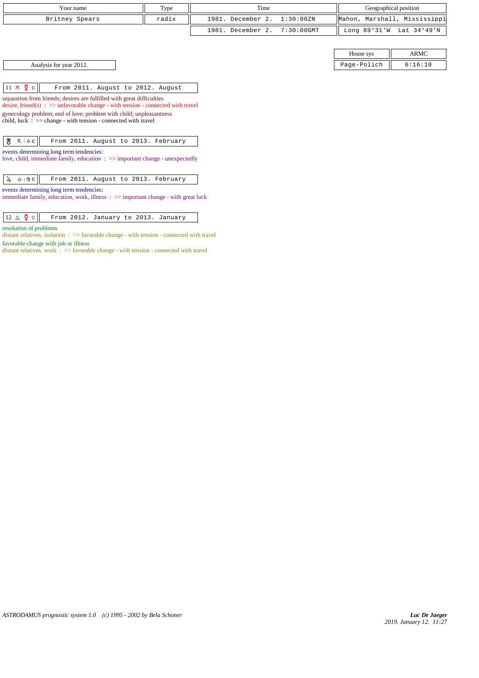| Your name      | Type  | Time                         | Geographical position        |
|----------------|-------|------------------------------|------------------------------|
| Britney Spears | radix | 1981. December 2. 1:30:00ZN  | Mahon, Marshall, Mississippi |
|                |       | 1981. December 2. 7:30:00GMT | Long 89°31'W Lat 34°49'N     |

Analysis for year 2012.

| House sys   | $\triangle$ RMC |
|-------------|-----------------|
| Page-Polich | 6:16:10         |

| $\left 11 \times \frac{5}{2} \right $ From 2011. August to 2012. August |  |  |  |
|-------------------------------------------------------------------------|--|--|--|
|                                                                         |  |  |  |

separation from friends; desires are fulfilled with great difficulties desire, friend(s) : >> unfavorable change - with tension - connected with travel

gynecology problem; end of love; problem with child; unpleasantness child, luck : >> change - with tension - connected with travel

|--|

events determining long term tendencies:

love, child, immediate family, education : >> important change - unexpectedly

### events determining long term tendencies:

immediate family, education, work, illness : >> important change - with great luck

resolution of problems

distant relatives, isolation : >> favorable change - with tension - connected with travel favorable change with job or illness

distant relatives, work : >> favorable change - with tension - connected with travel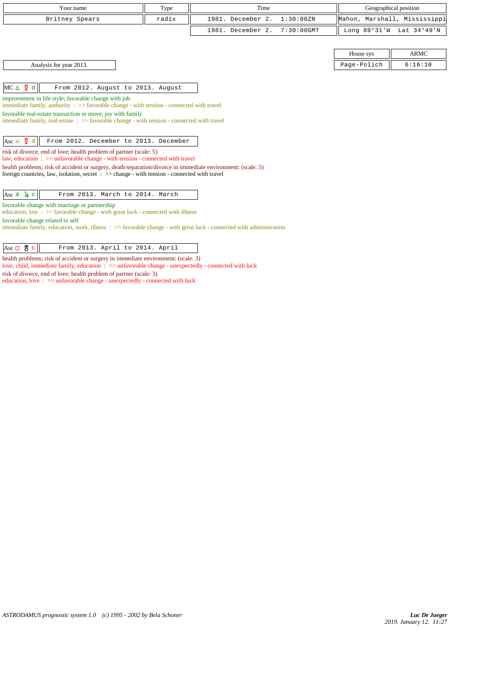| Your name                                                                                                                                                       | Type  | Time              |               |                              | Geographical position |
|-----------------------------------------------------------------------------------------------------------------------------------------------------------------|-------|-------------------|---------------|------------------------------|-----------------------|
| Britney Spears                                                                                                                                                  | radix | 1981. December 2. | 1:30:00ZN     | Mahon, Marshall, Mississippi |                       |
|                                                                                                                                                                 |       | 1981. December 2. | $7:30:00$ GMT | Long 89°31'W                 | Lat 34°49'N           |
|                                                                                                                                                                 |       |                   |               |                              |                       |
|                                                                                                                                                                 |       |                   |               | House sys                    | <b>ARMC</b>           |
| Analysis for year 2013.                                                                                                                                         |       |                   |               | Page-Polich                  | 6:16:10               |
|                                                                                                                                                                 |       |                   |               |                              |                       |
| $MC \triangle \n\begin{bmatrix} 2 & d \end{bmatrix}$<br>From 2012. August to 2013. August                                                                       |       |                   |               |                              |                       |
| improvement in life style; favorable change with job                                                                                                            |       |                   |               |                              |                       |
| immediate family, authority $\Rightarrow$ Savorable change - with tension - connected with travel                                                               |       |                   |               |                              |                       |
| favorable real-estate transaction or move; joy with family                                                                                                      |       |                   |               |                              |                       |
| immediate family, real-estate : >> favorable change - with tension - connected with travel                                                                      |       |                   |               |                              |                       |
|                                                                                                                                                                 |       |                   |               |                              |                       |
| Asc $\times$ $\frac{5}{4}$ d<br>From 2012. December to 2013. December                                                                                           |       |                   |               |                              |                       |
| risk of divorce, end of love; health problem of partner (scale: 5)<br>law, education $\Rightarrow$ >> unfavorable change - with tension - connected with travel |       |                   |               |                              |                       |
| health problems; risk of accident or surgery, death/separation/divorce in immediate environment: (scale: 5)                                                     |       |                   |               |                              |                       |
| foreign countries, law, isolation, secret $\div \gg$ change - with tension - connected with travel                                                              |       |                   |               |                              |                       |
|                                                                                                                                                                 |       |                   |               |                              |                       |
| $\text{Asc} \times \mathbf{1} \subset$<br>From 2013. March to 2014. March                                                                                       |       |                   |               |                              |                       |
| favorable change with marriage or partnership                                                                                                                   |       |                   |               |                              |                       |
| education, law $\Rightarrow$ >> favorable change - with great luck - connected with illness                                                                     |       |                   |               |                              |                       |
| favorable change related to self                                                                                                                                |       |                   |               |                              |                       |
| immediate family, education, work, illness : >> favorable change - with great luck - connected with administration                                              |       |                   |               |                              |                       |
|                                                                                                                                                                 |       |                   |               |                              |                       |

 $\fbox{Asc } \Box \text{ } \overset{\text{w}}{\bullet} \text{ } c$  From 2013. April to 2014. April

health problems; risk of accident or surgery in immediate environment: (scale: 3)

love, child, immediate family, education : >> unfavorable change - unexpectedly - connected with luck

risk of divorce, end of love; health problem of partner (scale: 3)

education, love :  $>\!\!>$  unfavorable change - unexpectedly - connected with luck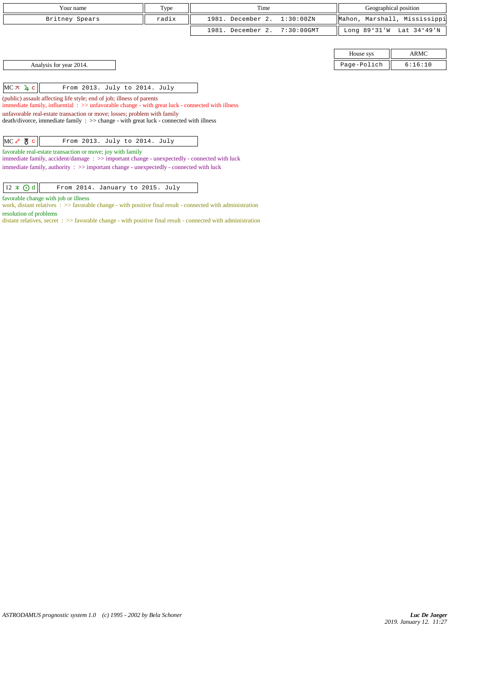| Your name                                                                                                                                                                                                                                                       | Type  | Time              |               | Geographical position |                              |
|-----------------------------------------------------------------------------------------------------------------------------------------------------------------------------------------------------------------------------------------------------------------|-------|-------------------|---------------|-----------------------|------------------------------|
| Britney Spears                                                                                                                                                                                                                                                  | radix | 1981. December 2. | 1:30:00ZN     |                       | Mahon, Marshall, Mississippi |
|                                                                                                                                                                                                                                                                 |       | 1981. December 2. | $7:30:00$ GMT | Long 89°31'W          | Lat 34°49'N                  |
|                                                                                                                                                                                                                                                                 |       |                   |               |                       |                              |
|                                                                                                                                                                                                                                                                 |       |                   |               | House sys             | ARMC                         |
| Analysis for year 2014.                                                                                                                                                                                                                                         |       |                   |               | Page-Polich           | 6:16:10                      |
|                                                                                                                                                                                                                                                                 |       |                   |               |                       |                              |
| $MC \times 4 c$<br>From 2013. July to 2014. July                                                                                                                                                                                                                |       |                   |               |                       |                              |
| (public) assault affecting life style; end of job; illness of parents<br>immediate family, influential : >> unfavorable change - with great luck - connected with illness                                                                                       |       |                   |               |                       |                              |
| unfavorable real-estate transaction or move; losses; problem with family<br>$death/divorce, immediate family : >> change - with great luck - connected with illness$                                                                                            |       |                   |               |                       |                              |
| $MC \rightarrow \& c$<br>From 2013. July to 2014. July                                                                                                                                                                                                          |       |                   |               |                       |                              |
| favorable real-estate transaction or move; joy with family<br>immediate family, accident/damage: $\gg$ important change - unexpectedly - connected with luck<br>immediate family, authority $\Rightarrow$ important change - unexpectedly - connected with luck |       |                   |               |                       |                              |

#### favorable change with job or illness

work, distant relatives : >> favorable change - with positive final result - connected with administration resolution of problems

distant relatives, secret : >> favorable change - with positive final result - connected with administration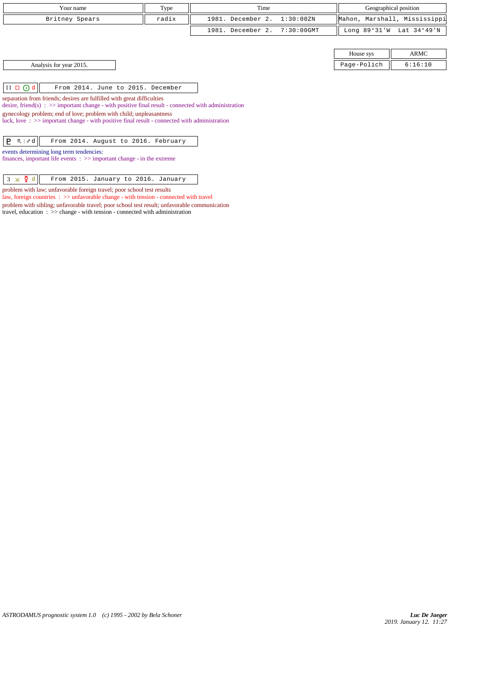| Your name                                                                                                                                                                         | Type  | Time              |            |                | Geographical position        |
|-----------------------------------------------------------------------------------------------------------------------------------------------------------------------------------|-------|-------------------|------------|----------------|------------------------------|
| Britney Spears                                                                                                                                                                    | radix | 1981. December 2. | 1:30:00ZN  |                | Mahon, Marshall, Mississippi |
|                                                                                                                                                                                   |       | 1981. December 2. | 7:30:00GMT | Long $89°31'W$ | Lat 34°49'N                  |
|                                                                                                                                                                                   |       |                   |            |                |                              |
|                                                                                                                                                                                   |       |                   |            | House sys      | <b>ARMC</b>                  |
| Analysis for year 2015.                                                                                                                                                           |       |                   |            | Page-Polich    | 6:16:10                      |
|                                                                                                                                                                                   |       |                   |            |                |                              |
| $11 \square$ $0d$<br>From 2014. June to 2015. December                                                                                                                            |       |                   |            |                |                              |
| separation from friends; desires are fulfilled with great difficulties<br>desire, friend(s) : $\gg$ important change - with positive final result - connected with administration |       |                   |            |                |                              |
| gynecology problem; end of love; problem with child; unpleasantness                                                                                                               |       |                   |            |                |                              |
| luck, love: $\gg$ important change - with positive final result - connected with administration                                                                                   |       |                   |            |                |                              |
| P.<br>$M \times d$<br>From 2014. August to 2016. February                                                                                                                         |       |                   |            |                |                              |
|                                                                                                                                                                                   |       |                   |            |                |                              |
| events determining long term tendencies:<br>finances, important life events $\Rightarrow$ important change - in the extreme                                                       |       |                   |            |                |                              |
|                                                                                                                                                                                   |       |                   |            |                |                              |
| ⊻ ହି d<br>3<br>From 2015. January to 2016. January                                                                                                                                |       |                   |            |                |                              |
| problem with law; unfavorable foreign travel; poor school test results                                                                                                            |       |                   |            |                |                              |

law, foreign countries : >> unfavorable change - with tension - connected with travel problem with sibling; unfavorable travel; poor school test result; unfavorable communication

travel, education : >> change - with tension - connected with administration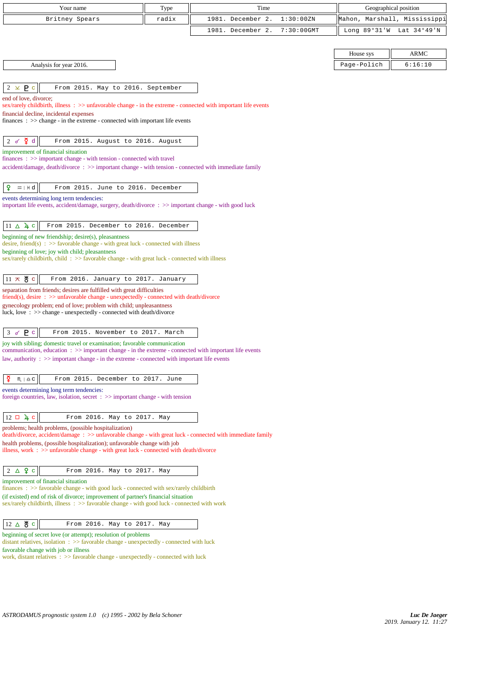| Your name                                                                                                                                                                                             | Type  | Time              |               | Geographical position        |             |
|-------------------------------------------------------------------------------------------------------------------------------------------------------------------------------------------------------|-------|-------------------|---------------|------------------------------|-------------|
| Britney Spears                                                                                                                                                                                        | radix | 1981. December 2. | 1:30:00 ZN    | Mahon, Marshall, Mississippi |             |
|                                                                                                                                                                                                       |       | 1981. December 2. | $7:30:00$ GMT | Long $89°31'W$               | Lat 34°49'N |
|                                                                                                                                                                                                       |       |                   |               |                              |             |
|                                                                                                                                                                                                       |       |                   |               | House sys                    | <b>ARMC</b> |
| Analysis for year 2016.                                                                                                                                                                               |       |                   |               | Page-Polich                  | 6:16:10     |
|                                                                                                                                                                                                       |       |                   |               |                              |             |
| $2 \times P$<br>From 2015. May to 2016. September                                                                                                                                                     |       |                   |               |                              |             |
| end of love, divorce;                                                                                                                                                                                 |       |                   |               |                              |             |
| sex/rarely childbirth, illness : >> unfavorable change - in the extreme - connected with important life events<br>financial decline, incidental expenses                                              |       |                   |               |                              |             |
| finances : $\gg$ change - in the extreme - connected with important life events                                                                                                                       |       |                   |               |                              |             |
|                                                                                                                                                                                                       |       |                   |               |                              |             |
| $\sum_{i=1}^{n}$<br>2 $\sigma$<br>From 2015. August to 2016. August                                                                                                                                   |       |                   |               |                              |             |
| improvement of financial situation<br>$finances: \gg important change - with tension - connected with travel$                                                                                         |       |                   |               |                              |             |
| accident/damage, death/divorce: >> important change - with tension - connected with immediate family                                                                                                  |       |                   |               |                              |             |
|                                                                                                                                                                                                       |       |                   |               |                              |             |
| ¥<br>$m + d$<br>From 2015. June to 2016. December                                                                                                                                                     |       |                   |               |                              |             |
| events determining long term tendencies:                                                                                                                                                              |       |                   |               |                              |             |
| important life events, accident/damage, surgery, death/divorce : >> important change - with good luck                                                                                                 |       |                   |               |                              |             |
| $11 \triangle 4c$<br>From 2015. December to 2016. December                                                                                                                                            |       |                   |               |                              |             |
| beginning of new friendship; desire(s), pleasantness                                                                                                                                                  |       |                   |               |                              |             |
| desire, friend(s) : $\gg$ favorable change - with great luck - connected with illness                                                                                                                 |       |                   |               |                              |             |
| beginning of love; joy with child; pleasantness<br>sex/rarely childbirth, child: >> favorable change - with great luck - connected with illness                                                       |       |                   |               |                              |             |
|                                                                                                                                                                                                       |       |                   |               |                              |             |
| $11 \times 8$ c<br>From 2016. January to 2017. January                                                                                                                                                |       |                   |               |                              |             |
| separation from friends; desires are fulfilled with great difficulties                                                                                                                                |       |                   |               |                              |             |
| $\text{friend}(s)$ , desire : $\gg$ unfavorable change - unexpectedly - connected with death/divorce                                                                                                  |       |                   |               |                              |             |
| gynecology problem; end of love; problem with child; unpleasantness<br>luck, love: >> change - unexpectedly - connected with death/divorce                                                            |       |                   |               |                              |             |
|                                                                                                                                                                                                       |       |                   |               |                              |             |
| P <sub>c</sub><br>3 <sub>o</sub><br>From 2015. November to 2017. March                                                                                                                                |       |                   |               |                              |             |
| joy with sibling; domestic travel or examination; favorable communication                                                                                                                             |       |                   |               |                              |             |
| communication, education : >> important change - in the extreme - connected with important life events<br>law, authority: >> important change - in the extreme - connected with important life events |       |                   |               |                              |             |
|                                                                                                                                                                                                       |       |                   |               |                              |             |
| ₽<br>$M \mid \underline{\Omega} C$<br>From 2015. December to 2017. June                                                                                                                               |       |                   |               |                              |             |
| events determining long term tendencies:                                                                                                                                                              |       |                   |               |                              |             |
| foreign countries, law, isolation, secret $\Rightarrow$ important change - with tension                                                                                                               |       |                   |               |                              |             |
|                                                                                                                                                                                                       |       |                   |               |                              |             |
| $12 \Box 4 c$<br>From 2016. May to 2017. May<br>problems; health problems, (possible hospitalization)                                                                                                 |       |                   |               |                              |             |
| death/divorce, accident/damage: >> unfavorable change - with great luck - connected with immediate family                                                                                             |       |                   |               |                              |             |
| health problems, (possible hospitalization); unfavorable change with job<br>illness, work $\Rightarrow$ > unfavorable change - with great luck - connected with death/divorce                         |       |                   |               |                              |             |
|                                                                                                                                                                                                       |       |                   |               |                              |             |
| $2 \triangle 9$<br>From 2016. May to 2017. May                                                                                                                                                        |       |                   |               |                              |             |
| improvement of financial situation                                                                                                                                                                    |       |                   |               |                              |             |
| $finances : \gg$ favorable change - with good luck - connected with sex/rarely childbirth                                                                                                             |       |                   |               |                              |             |
| (if existed) end of risk of divorce; improvement of partner's financial situation<br>sex/rarely childbirth, illness : >> favorable change - with good luck - connected with work                      |       |                   |               |                              |             |
|                                                                                                                                                                                                       |       |                   |               |                              |             |
| 12 ∆ ੴ ⊂<br>From 2016. May to 2017. May                                                                                                                                                               |       |                   |               |                              |             |
| beginning of secret love (or attempt); resolution of problems                                                                                                                                         |       |                   |               |                              |             |
| distant relatives, isolation $\Rightarrow$ > favorable change - unexpectedly - connected with luck<br>favorable change with job or illness                                                            |       |                   |               |                              |             |
| work, distant relatives : >> favorable change - unexpectedly - connected with luck                                                                                                                    |       |                   |               |                              |             |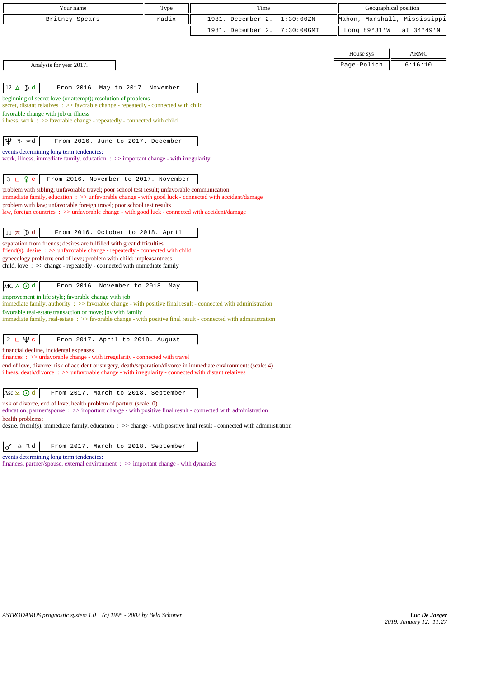| Your name                                                                                                                                                                                                                                                               | Type  | Time                               |                | Geographical position |
|-------------------------------------------------------------------------------------------------------------------------------------------------------------------------------------------------------------------------------------------------------------------------|-------|------------------------------------|----------------|-----------------------|
| Britney Spears                                                                                                                                                                                                                                                          | radix | 1981. December 2.<br>1:30:00ZN     | Mahon,         | Marshall, Mississippi |
|                                                                                                                                                                                                                                                                         |       | $7:30:00$ GMT<br>1981. December 2. | Long $89°31'W$ | Lat 34°49'N           |
|                                                                                                                                                                                                                                                                         |       |                                    |                |                       |
|                                                                                                                                                                                                                                                                         |       |                                    | House sys      | <b>ARMC</b>           |
| Analysis for year 2017.                                                                                                                                                                                                                                                 |       |                                    | Page-Polich    | 6:16:10               |
|                                                                                                                                                                                                                                                                         |       |                                    |                |                       |
| $12 \triangle \mathcal{D} d$<br>From 2016. May to 2017. November                                                                                                                                                                                                        |       |                                    |                |                       |
| beginning of secret love (or attempt); resolution of problems<br>secret, distant relatives : >> favorable change - repeatedly - connected with child<br>favorable change with job or illness<br>illness, work : >> favorable change - repeatedly - connected with child |       |                                    |                |                       |
| Ψ<br>ზ   <i>;</i> ;; d<br>From 2016. June to 2017. December                                                                                                                                                                                                             |       |                                    |                |                       |
| events determining long term tendencies:<br>work, illness, immediate family, education $\Rightarrow$ important change - with irregularity                                                                                                                               |       |                                    |                |                       |
| $3 \square$ $9 \nc$<br>From 2016. November to 2017. November                                                                                                                                                                                                            |       |                                    |                |                       |
| problem with sibling; unfavorable travel; poor school test result; unfavorable communication<br>immediate family, education : >> unfavorable change - with good luck - connected with accident/damage                                                                   |       |                                    |                |                       |
| problem with law; unfavorable foreign travel; poor school test results<br>law, foreign countries : >> unfavorable change - with good luck - connected with accident/damage                                                                                              |       |                                    |                |                       |
| $11 \times$ <b>D</b> d<br>From 2016. October to 2018. April                                                                                                                                                                                                             |       |                                    |                |                       |
| separation from friends; desires are fulfilled with great difficulties<br>friend(s), desire $\Rightarrow$ >> unfavorable change - repeatedly - connected with child                                                                                                     |       |                                    |                |                       |
| gynecology problem; end of love; problem with child; unpleasantness<br>child, love $\Rightarrow$ >> change - repeatedly - connected with immediate family                                                                                                               |       |                                    |                |                       |
| $MC \triangle$ $\odot$ d<br>From 2016. November to 2018. May                                                                                                                                                                                                            |       |                                    |                |                       |
| improvement in life style; favorable change with job<br>immediate family, authority $\Rightarrow$ S favorable change - with positive final result - connected with administration                                                                                       |       |                                    |                |                       |
| favorable real-estate transaction or move; joy with family<br>immediate family, real-estate : >> favorable change - with positive final result - connected with administration                                                                                          |       |                                    |                |                       |
| $2 \Box \Psi c$<br>From 2017. April to 2018. August                                                                                                                                                                                                                     |       |                                    |                |                       |
| financial decline, incidental expenses<br>finances : >> unfavorable change - with irregularity - connected with travel                                                                                                                                                  |       |                                    |                |                       |
| end of love, divorce; risk of accident or surgery, death/separation/divorce in immediate environment: (scale: 4)<br>illness, death/divorce $\Rightarrow$ > unfavorable change - with irregularity - connected with distant relatives                                    |       |                                    |                |                       |
| Asc ⊻ ⊙ d<br>From 2017. March to 2018. September                                                                                                                                                                                                                        |       |                                    |                |                       |
| risk of divorce, end of love; health problem of partner (scale: 0)<br>education, partner/spouse : >> important change - with positive final result - connected with administration                                                                                      |       |                                    |                |                       |
| health problems;<br>desire, friend(s), immediate family, education $\Rightarrow$ > change - with positive final result - connected with administration                                                                                                                  |       |                                    |                |                       |
| $\underline{\mathbf{a}}\mid\texttt{M}\!\!\downarrow d$<br>♂<br>From 2017. March to 2018. September                                                                                                                                                                      |       |                                    |                |                       |
| events determining long term tendencies:                                                                                                                                                                                                                                |       |                                    |                |                       |

finances, partner/spouse, external environment : >> important change - with dynamics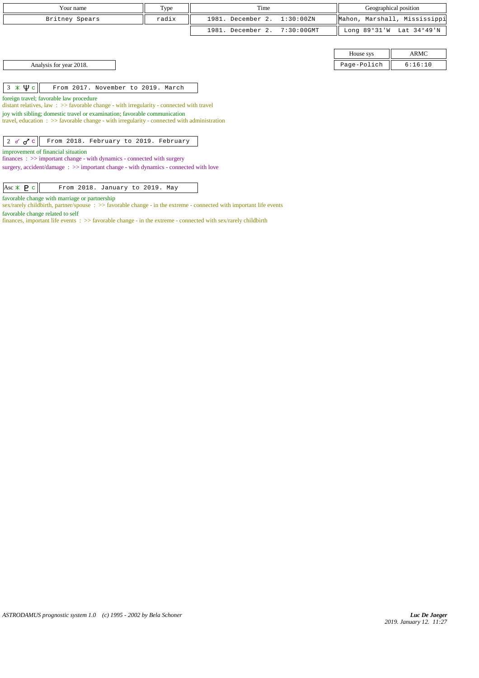| Your name                                                                                                                                                                         |       | Time              |            |                |                              |
|-----------------------------------------------------------------------------------------------------------------------------------------------------------------------------------|-------|-------------------|------------|----------------|------------------------------|
|                                                                                                                                                                                   | Type  |                   |            |                | Geographical position        |
| Britney Spears                                                                                                                                                                    | radix | 1981. December 2. | 1:30:00ZN  |                | Mahon, Marshall, Mississippi |
|                                                                                                                                                                                   |       | 1981. December 2. | 7:30:00GMT | Long $89°31'W$ | Lat 34°49'N                  |
|                                                                                                                                                                                   |       |                   |            |                |                              |
|                                                                                                                                                                                   |       |                   |            | House sys      | <b>ARMC</b>                  |
| Analysis for year 2018.                                                                                                                                                           |       |                   |            | Page-Polich    | 6:16:10                      |
|                                                                                                                                                                                   |       |                   |            |                |                              |
| $3 \times \Psi$ c<br>From 2017. November to 2019. March                                                                                                                           |       |                   |            |                |                              |
| foreign travel; favorable law procedure<br>distant relatives, law : $\gg$ favorable change - with irregularity - connected with travel                                            |       |                   |            |                |                              |
| joy with sibling; domestic travel or examination; favorable communication<br>travel, education $\Rightarrow$ Savorable change - with irregularity - connected with administration |       |                   |            |                |                              |
|                                                                                                                                                                                   |       |                   |            |                |                              |
| From 2018. February to 2019. February<br>2 of $\sigma$ <sup>2</sup> c                                                                                                             |       |                   |            |                |                              |
| improvement of financial situation<br>$finances: \gg important change - with dynamics - connected with surgery$                                                                   |       |                   |            |                |                              |
| surgery, accident/damage: >> important change - with dynamics - connected with love                                                                                               |       |                   |            |                |                              |
|                                                                                                                                                                                   |       |                   |            |                |                              |

favorable change with marriage or partnership

Asc  $\angle$  **P** c  $\parallel$  From 2018. January to 2019. May

sex/rarely childbirth, partner/spouse :  $\gg$  favorable change - in the extreme - connected with important life events favorable change related to self

finances, important life events : >> favorable change - in the extreme - connected with sex/rarely childbirth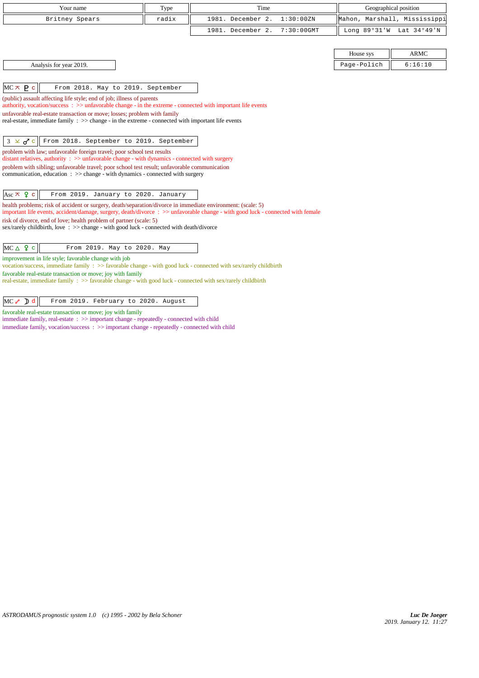| Your name                                                                                                                                                                                                                                                                                                                                                                                                                                                                                                                                                                                                                                                                                                                                                                                                                                                                                                                | Type  | Time                               |             | Geographical position        |
|--------------------------------------------------------------------------------------------------------------------------------------------------------------------------------------------------------------------------------------------------------------------------------------------------------------------------------------------------------------------------------------------------------------------------------------------------------------------------------------------------------------------------------------------------------------------------------------------------------------------------------------------------------------------------------------------------------------------------------------------------------------------------------------------------------------------------------------------------------------------------------------------------------------------------|-------|------------------------------------|-------------|------------------------------|
| Britney Spears                                                                                                                                                                                                                                                                                                                                                                                                                                                                                                                                                                                                                                                                                                                                                                                                                                                                                                           | radix | 1981. December 2.<br>1:30:00 ZN    |             | Mahon, Marshall, Mississippi |
|                                                                                                                                                                                                                                                                                                                                                                                                                                                                                                                                                                                                                                                                                                                                                                                                                                                                                                                          |       | 1981. December 2.<br>$7:30:00$ GMT |             | Long 89°31'W Lat 34°49'N     |
|                                                                                                                                                                                                                                                                                                                                                                                                                                                                                                                                                                                                                                                                                                                                                                                                                                                                                                                          |       |                                    |             |                              |
|                                                                                                                                                                                                                                                                                                                                                                                                                                                                                                                                                                                                                                                                                                                                                                                                                                                                                                                          |       |                                    | House sys   | <b>ARMC</b>                  |
| Analysis for year 2019.                                                                                                                                                                                                                                                                                                                                                                                                                                                                                                                                                                                                                                                                                                                                                                                                                                                                                                  |       |                                    | Page-Polich | 6:16:10                      |
| $MC \times P$ c<br>From 2018. May to 2019. September<br>(public) assault affecting life style; end of job; illness of parents<br>authority, vocation/success: >> unfavorable change - in the extreme - connected with important life events<br>unfavorable real-estate transaction or move; losses; problem with family<br>real-estate, immediate family : >> change - in the extreme - connected with important life events<br>$3 \times d^c$<br>From 2018. September to 2019. September<br>problem with law; unfavorable foreign travel; poor school test results<br>distant relatives, authority : >> unfavorable change - with dynamics - connected with surgery<br>problem with sibling; unfavorable travel; poor school test result; unfavorable communication<br>communication, education $\Rightarrow$ > change - with dynamics - connected with surgery<br>Asc $\pi$ 9 c<br>From 2019. January to 2020. January |       |                                    |             |                              |
| health problems; risk of accident or surgery, death/separation/divorce in immediate environment: (scale: 5)<br>important life events, accident/damage, surgery, death/divorce: >> unfavorable change - with good luck - connected with female<br>risk of divorce, end of love; health problem of partner (scale: 5)<br>sex/rarely childbirth, love: >> change - with good luck - connected with death/divorce                                                                                                                                                                                                                                                                                                                                                                                                                                                                                                            |       |                                    |             |                              |
| $MC \triangle 9 c$<br>From 2019. May to 2020. May<br>improvement in life style; favorable change with job<br>vocation/success, immediate family : >> favorable change - with good luck - connected with sex/rarely childbirth<br>favorable real-estate transaction or move; joy with family<br>real-estate, immediate family : >> favorable change - with good luck - connected with sex/rarely childbirth<br>$\sqrt{2}$                                                                                                                                                                                                                                                                                                                                                                                                                                                                                                 |       |                                    |             |                              |

MC  $\ell$  ) d From 2019. February to 2020. August

favorable real-estate transaction or move; joy with family  $\;$  immediate family, real-estate  $\; : \; >>$  important change - repeatedly - connected with child

immediate family, vocation/success : >> important change - repeatedly - connected with child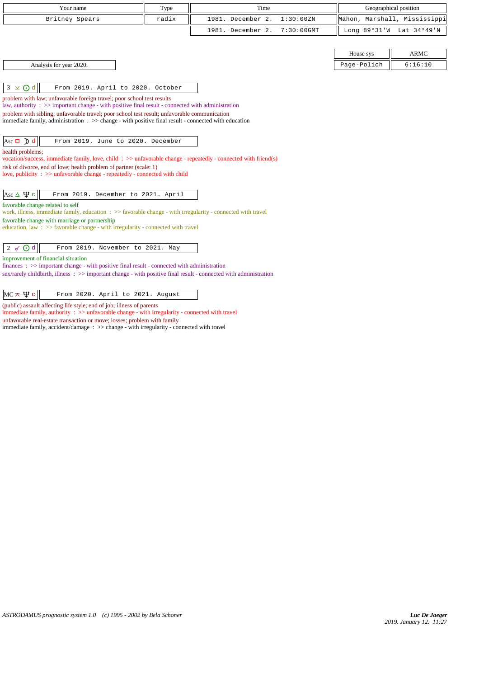| Your name                                                                                                                                                                      | Type  | Time                               |             | Geographical position        |
|--------------------------------------------------------------------------------------------------------------------------------------------------------------------------------|-------|------------------------------------|-------------|------------------------------|
| Britney Spears                                                                                                                                                                 | radix | 1981. December 2.<br>1:30:00ZN     |             | Mahon, Marshall, Mississippi |
|                                                                                                                                                                                |       | 1981. December 2.<br>$7:30:00$ GMT |             | Long 89°31'W Lat 34°49'N     |
|                                                                                                                                                                                |       |                                    |             |                              |
|                                                                                                                                                                                |       |                                    | House sys   | ARMC                         |
| Analysis for year 2020.                                                                                                                                                        |       |                                    | Page-Polich | 6:16:10                      |
|                                                                                                                                                                                |       |                                    |             |                              |
| $3 \times 0d$<br>From 2019. April to 2020. October                                                                                                                             |       |                                    |             |                              |
| problem with law; unfavorable foreign travel; poor school test results<br>law, authority : $\gg$ important change - with positive final result - connected with administration |       |                                    |             |                              |
| problem with sibling; unfavorable travel; poor school test result; unfavorable communication                                                                                   |       |                                    |             |                              |
| immediate family, administration $\Rightarrow$ > change - with positive final result - connected with education                                                                |       |                                    |             |                              |
|                                                                                                                                                                                |       |                                    |             |                              |
| $\text{Asc } \Box$ $\Box$ d<br>From 2019. June to 2020. December                                                                                                               |       |                                    |             |                              |
| health problems;                                                                                                                                                               |       |                                    |             |                              |
| vocation/success, immediate family, love, child: >> unfavorable change - repeatedly - connected with friend(s)                                                                 |       |                                    |             |                              |
| risk of divorce, end of love; health problem of partner (scale: 1)                                                                                                             |       |                                    |             |                              |
| love, publicity : >> unfavorable change - repeatedly - connected with child                                                                                                    |       |                                    |             |                              |
| Asc $\Delta \Psi c$<br>From 2019. December to 2021. April                                                                                                                      |       |                                    |             |                              |
| favorable change related to self                                                                                                                                               |       |                                    |             |                              |
| work, illness, immediate family, education : >> favorable change - with irregularity - connected with travel                                                                   |       |                                    |             |                              |
| favorable change with marriage or partnership                                                                                                                                  |       |                                    |             |                              |
| education, law : $\gg$ favorable change - with irregularity - connected with travel                                                                                            |       |                                    |             |                              |
|                                                                                                                                                                                |       |                                    |             |                              |
| 2 $\sigma$ $\odot$ d<br>From 2019. November to 2021. May                                                                                                                       |       |                                    |             |                              |
| improvement of financial situation<br>finances : >> important change - with positive final result - connected with administration                                              |       |                                    |             |                              |
| sex/rarely childbirth, illness : >> important change - with positive final result - connected with administration                                                              |       |                                    |             |                              |
|                                                                                                                                                                                |       |                                    |             |                              |
| $MC \times \Psi c$<br>From 2020. April to 2021. August                                                                                                                         |       |                                    |             |                              |
| (public) assault affecting life style; end of job; illness of parents<br>immodiate family, outhority $x \times y$ unforceable abongs, with imagglerity, connected with travel  |       |                                    |             |                              |

immediate family, authority :  $>\!\!>$  unfavorable change - with irregularity - connected with travel unfavorable real-estate transaction or move; losses; problem with family immediate family, accident/damage : >> change - with irregularity - connected with travel

*ASTRODAMUS prognostic system 1.0 (c) 1995 - 2002 by Bela Schoner*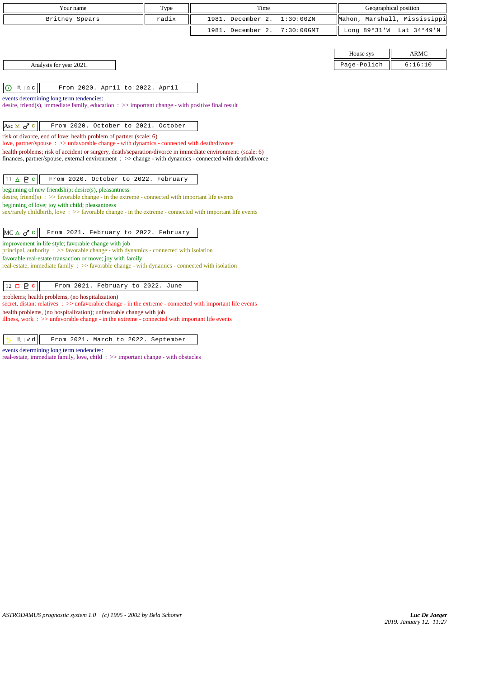| Your name                                                                                                                                                                                                                | Type  | Time              |               |              | Geographical position        |
|--------------------------------------------------------------------------------------------------------------------------------------------------------------------------------------------------------------------------|-------|-------------------|---------------|--------------|------------------------------|
| Britney Spears                                                                                                                                                                                                           | radix | 1981. December 2. | 1:30:00 ZN    |              | Mahon, Marshall, Mississippi |
|                                                                                                                                                                                                                          |       | 1981. December 2. | $7:30:00$ GMT | Long 89°31'W | Lat 34°49'N                  |
|                                                                                                                                                                                                                          |       |                   |               |              |                              |
|                                                                                                                                                                                                                          |       |                   |               | House sys    | <b>ARMC</b>                  |
| Analysis for year 2021.                                                                                                                                                                                                  |       |                   |               | Page-Polich  | 6:16:10                      |
|                                                                                                                                                                                                                          |       |                   |               |              |                              |
| $\odot$<br>$M \rvert \triangleq C$<br>From 2020. April to 2022. April                                                                                                                                                    |       |                   |               |              |                              |
| events determining long term tendencies:                                                                                                                                                                                 |       |                   |               |              |                              |
| desire, friend(s), immediate family, education $\Rightarrow$ >> important change - with positive final result                                                                                                            |       |                   |               |              |                              |
| Asc $\times$ $\sigma$ <sup>2</sup> c<br>From 2020. October to 2021. October                                                                                                                                              |       |                   |               |              |                              |
| risk of divorce, end of love; health problem of partner (scale: 6)                                                                                                                                                       |       |                   |               |              |                              |
| love, partner/spouse: >> unfavorable change - with dynamics - connected with death/divorce                                                                                                                               |       |                   |               |              |                              |
| health problems; risk of accident or surgery, death/separation/divorce in immediate environment: (scale: 6)<br>finances, partner/spouse, external environment : >> change - with dynamics - connected with death/divorce |       |                   |               |              |                              |
|                                                                                                                                                                                                                          |       |                   |               |              |                              |
| $11 \triangle P$<br>From 2020. October to 2022. February                                                                                                                                                                 |       |                   |               |              |                              |
| beginning of new friendship; desire(s), pleasantness                                                                                                                                                                     |       |                   |               |              |                              |
| desire, friend(s) : $\gg$ favorable change - in the extreme - connected with important life events                                                                                                                       |       |                   |               |              |                              |
| beginning of love; joy with child; pleasantness<br>sex/rarely childbirth, love: $\gg$ favorable change - in the extreme - connected with important life events                                                           |       |                   |               |              |                              |
|                                                                                                                                                                                                                          |       |                   |               |              |                              |
| $MC \triangle \sigma^{\prime}$ c<br>From 2021. February to 2022. February                                                                                                                                                |       |                   |               |              |                              |
| improvement in life style; favorable change with job                                                                                                                                                                     |       |                   |               |              |                              |
| principal, authority $\Rightarrow$ S avorable change - with dynamics - connected with isolation                                                                                                                          |       |                   |               |              |                              |
| favorable real-estate transaction or move; joy with family<br>real-estate, immediate family : >> favorable change - with dynamics - connected with isolation                                                             |       |                   |               |              |                              |
|                                                                                                                                                                                                                          |       |                   |               |              |                              |
| $12 \Box P c$<br>From 2021. February to 2022. June                                                                                                                                                                       |       |                   |               |              |                              |
| problems; health problems, (no hospitalization)                                                                                                                                                                          |       |                   |               |              |                              |
| secret, distant relatives : >> unfavorable change - in the extreme - connected with important life events                                                                                                                |       |                   |               |              |                              |
| health problems, (no hospitalization); unfavorable change with job<br>illness, work $\Rightarrow$ >> unfavorable change - in the extreme - connected with important life events                                          |       |                   |               |              |                              |

5  $m | \times d$  From 2021. March to 2022. September events determining long term tendencies:

real-estate, immediate family, love, child : >> important change - with obstacles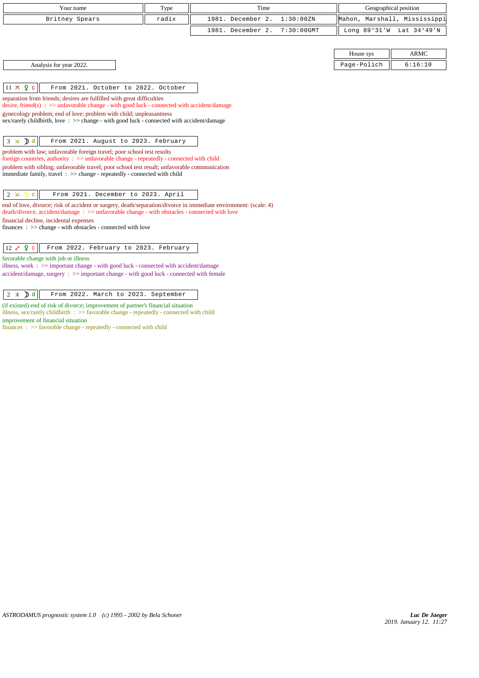| Your name                                                                                                                                                             | Type  | Time                               |             | Geographical position        |
|-----------------------------------------------------------------------------------------------------------------------------------------------------------------------|-------|------------------------------------|-------------|------------------------------|
| Britney Spears                                                                                                                                                        | radix | 1981. December 2.<br>1:30:00ZN     |             | Mahon, Marshall, Mississippi |
|                                                                                                                                                                       |       | 1981. December 2.<br>$7:30:00$ GMT |             | Long 89°31'W Lat 34°49'N     |
|                                                                                                                                                                       |       |                                    |             |                              |
|                                                                                                                                                                       |       |                                    | House sys   | <b>ARMC</b>                  |
| Analysis for year 2022.                                                                                                                                               |       |                                    | Page-Polich | 6:16:10                      |
|                                                                                                                                                                       |       |                                    |             |                              |
| $11 \times 9$ c<br>From 2021. October to 2022. October                                                                                                                |       |                                    |             |                              |
| separation from friends; desires are fulfilled with great difficulties                                                                                                |       |                                    |             |                              |
| desire, friend(s) : $\gg$ unfavorable change - with good luck - connected with accident/damage<br>gynecology problem; end of love; problem with child; unpleasantness |       |                                    |             |                              |
| sex/rarely childbirth, love: >> change - with good luck - connected with accident/damage                                                                              |       |                                    |             |                              |
|                                                                                                                                                                       |       |                                    |             |                              |
| $3 \times Dd$<br>From 2021. August to 2023. February                                                                                                                  |       |                                    |             |                              |
| problem with law; unfavorable foreign travel; poor school test results<br>foreign countries, authority : >> unfavorable change - repeatedly - connected with child    |       |                                    |             |                              |
| problem with sibling; unfavorable travel; poor school test result; unfavorable communication                                                                          |       |                                    |             |                              |
| immediate family, travel: >> change - repeatedly - connected with child                                                                                               |       |                                    |             |                              |
|                                                                                                                                                                       |       |                                    |             |                              |
| From 2021. December to 2023. April<br>$2 \times 5$<br>$\mathbf{C}$                                                                                                    |       |                                    |             |                              |
| end of love, divorce; risk of accident or surgery, death/separation/divorce in immediate environment: (scale: 4)                                                      |       |                                    |             |                              |
| death/divorce, accident/damage: >> unfavorable change - with obstacles - connected with love<br>financial decline, incidental expenses                                |       |                                    |             |                              |
| $finances : \gg change - with obstacles - connected with love$                                                                                                        |       |                                    |             |                              |
|                                                                                                                                                                       |       |                                    |             |                              |
| $12 \times 9$ c<br>From 2022. February to 2023. February                                                                                                              |       |                                    |             |                              |
| favorable change with job or illness                                                                                                                                  |       |                                    |             |                              |
| illness, work : >> important change - with good luck - connected with accident/damage                                                                                 |       |                                    |             |                              |
| accident/damage, surgery : >> important change - with good luck - connected with female                                                                               |       |                                    |             |                              |
|                                                                                                                                                                       |       |                                    |             |                              |
| $2 \times Dd$<br>From 2022. March to 2023. September                                                                                                                  |       |                                    |             |                              |
| (if existed) end of risk of divorce; improvement of partner's financial situation                                                                                     |       |                                    |             |                              |

illness, sex/rarely childbirth : >> favorable change - repeatedly - connected with child improvement of financial situation

finances : >> favorable change - repeatedly - connected with child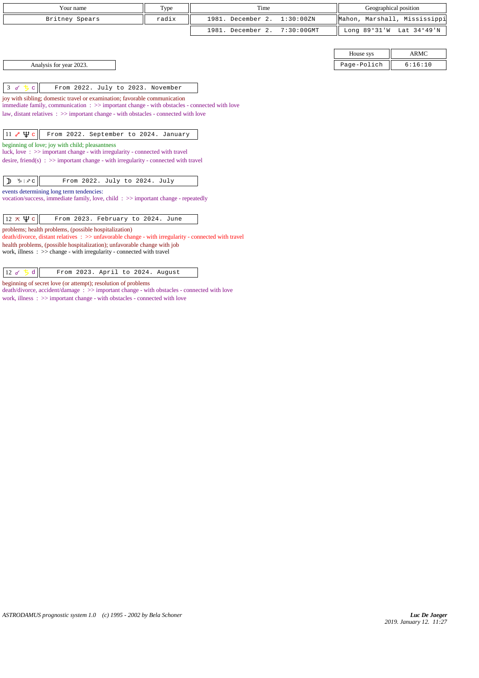| Your name                                                                                            | Type  | Time                               |             | Geographical position        |  |
|------------------------------------------------------------------------------------------------------|-------|------------------------------------|-------------|------------------------------|--|
|                                                                                                      |       |                                    |             |                              |  |
| Britney Spears                                                                                       | radix | 1981. December 2.<br>1:30:00ZN     |             | Mahon, Marshall, Mississippi |  |
|                                                                                                      |       | 1981. December 2.<br>$7:30:00$ GMT |             | Long 89°31'W Lat 34°49'N     |  |
|                                                                                                      |       |                                    |             |                              |  |
|                                                                                                      |       |                                    | House sys   | <b>ARMC</b>                  |  |
| Analysis for year 2023.                                                                              |       |                                    | Page-Polich | 6:16:10                      |  |
|                                                                                                      |       |                                    |             |                              |  |
| From 2022. July to 2023. November<br>3 〆 ち<br>$\mathbf{C}$                                           |       |                                    |             |                              |  |
| joy with sibling; domestic travel or examination; favorable communication                            |       |                                    |             |                              |  |
| immediate family, communication : >> important change - with obstacles - connected with love         |       |                                    |             |                              |  |
| law, distant relatives $\Rightarrow$ > important change - with obstacles - connected with love       |       |                                    |             |                              |  |
|                                                                                                      |       |                                    |             |                              |  |
| $11 e \Psi c$<br>From 2022. September to 2024. January                                               |       |                                    |             |                              |  |
| beginning of love; joy with child; pleasantness                                                      |       |                                    |             |                              |  |
| luck, love: $\gg$ important change - with irregularity - connected with travel                       |       |                                    |             |                              |  |
| desire, friend(s) : $\gg$ important change - with irregularity - connected with travel               |       |                                    |             |                              |  |
|                                                                                                      |       |                                    |             |                              |  |
| $\mathcal{V}_{\text{D}} \mid \chi \text{C}$<br>From 2022. July to 2024. July<br>╖                    |       |                                    |             |                              |  |
| events determining long term tendencies:                                                             |       |                                    |             |                              |  |
| vocation/success, immediate family, love, child: $\gg$ important change - repeatedly                 |       |                                    |             |                              |  |
|                                                                                                      |       |                                    |             |                              |  |
| $12 \times \Psi$ c<br>From 2023. February to 2024. June                                              |       |                                    |             |                              |  |
| problems; health problems, (possible hospitalization)                                                |       |                                    |             |                              |  |
| death/divorce, distant relatives : >> unfavorable change - with irregularity - connected with travel |       |                                    |             |                              |  |
| health problems, (possible hospitalization); unfavorable change with job                             |       |                                    |             |                              |  |

work, illness : >> change - with irregularity - connected with travel

| $ 12 \times 5d $ | From 2023. April to 2024. August |  |  |  |  |
|------------------|----------------------------------|--|--|--|--|
|------------------|----------------------------------|--|--|--|--|

beginning of secret love (or attempt); resolution of problems

death/divorce, accident/damage : >> important change - with obstacles - connected with love

work, illness : >> important change - with obstacles - connected with love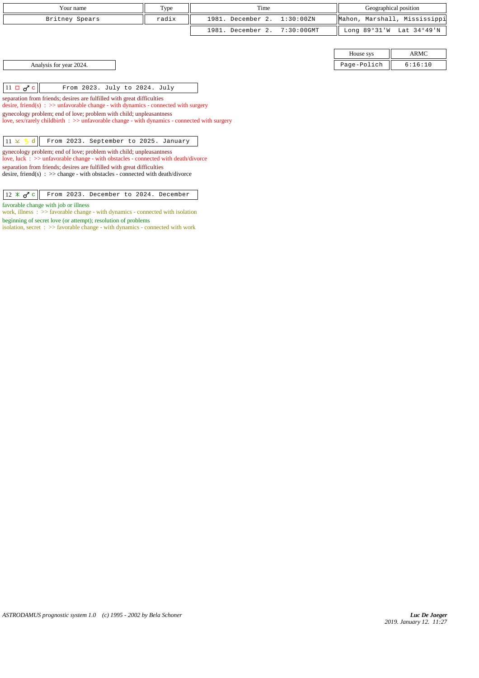| Your name      | Type  | Time                         | Geographical position        |  |
|----------------|-------|------------------------------|------------------------------|--|
| Britney Spears | radix | 1981. December 2. 1:30:00ZN  | Mahon, Marshall, Mississippi |  |
|                |       | 1981. December 2. 7:30:00GMT | Long 89°31'W Lat 34°49'N     |  |
|                |       |                              |                              |  |

Analysis for year 2024. 2024.

 $\|11 \Box \sigma^r c\|$  From 2023. July to 2024. July

separation from friends; desires are fulfilled with great difficulties desire, friend(s) : >> unfavorable change - with dynamics - connected with surgery gynecology problem; end of love; problem with child; unpleasantness love, sex/rarely childbirth : >> unfavorable change - with dynamics - connected with surgery

 $\boxed{11 \times 5 \text{ d}}$  From 2023. September to 2025. January

gynecology problem; end of love; problem with child; unpleasantness love, luck : >> unfavorable change - with obstacles - connected with death/divorce separation from friends; desires are fulfilled with great difficulties desire, friend(s) : >> change - with obstacles - connected with death/divorce

12 c From 2023. December to 2024. December

favorable change with job or illness

work, illness : >> favorable change - with dynamics - connected with isolation beginning of secret love (or attempt); resolution of problems

isolation, secret : >> favorable change - with dynamics - connected with work

House sys  $\parallel$  ARMC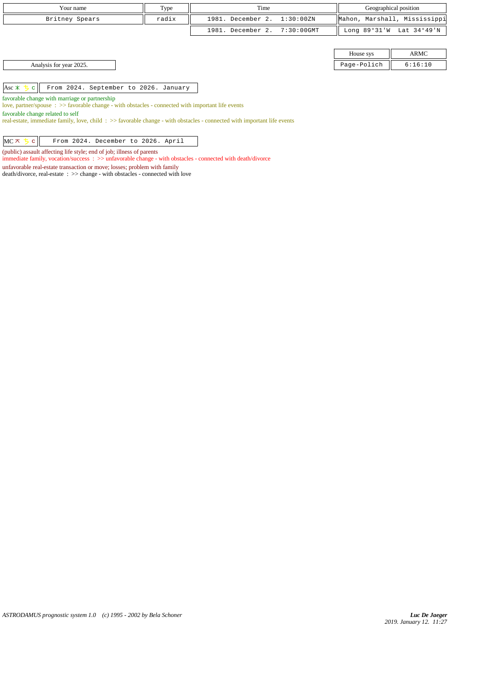| Type<br>Your name                                                                                                                                   |       | Time                 |               | Geographical position |                              |
|-----------------------------------------------------------------------------------------------------------------------------------------------------|-------|----------------------|---------------|-----------------------|------------------------------|
| Britney Spears                                                                                                                                      | radix | December 2.<br>1981. | 1:30:00ZN     |                       | Mahon, Marshall, Mississippi |
|                                                                                                                                                     |       | December 2.<br>1981. | $7:30:00$ GMT | Long $89°31'W$        | Lat 34°49'N                  |
|                                                                                                                                                     |       |                      |               |                       |                              |
|                                                                                                                                                     |       |                      |               | House sys             | <b>ARMC</b>                  |
| Analysis for year 2025.                                                                                                                             |       |                      |               | Page-Polich           | 6:16:10                      |
|                                                                                                                                                     |       |                      |               |                       |                              |
| Asc $*$ 5<br>From 2024. September to 2026. January<br>$\mathbf{C}$                                                                                  |       |                      |               |                       |                              |
| favorable change with marriage or partnership<br>love, partner/spouse : >> favorable change - with obstacles - connected with important life events |       |                      |               |                       |                              |

favorable change related to self

 $\overline{\phantom{a}}$ 

real-estate, immediate family, love, child : >> favorable change - with obstacles - connected with important life events

|  |  | $MC \times 5 c$ From 2024. December to 2026. April |  |  |
|--|--|----------------------------------------------------|--|--|
|  |  |                                                    |  |  |

(public) assault affecting life style; end of job; illness of parents immediate family, vocation/success : >> unfavorable change - with obstacles - connected with death/divorce

unfavorable real-estate transaction or move; losses; problem with family

death/divorce, real-estate : >> change - with obstacles - connected with love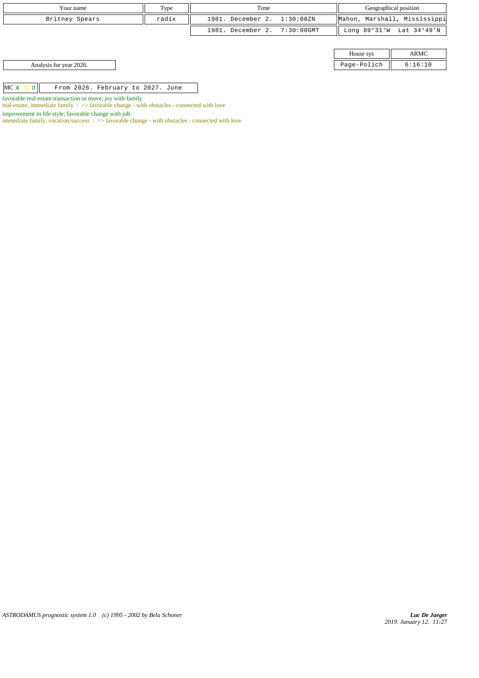| Your name                                                  | Type  | Time                         |  | Geographical position        |                          |
|------------------------------------------------------------|-------|------------------------------|--|------------------------------|--------------------------|
| Britney Spears                                             | radix | 1981. December 2. 1:30:00ZN  |  | Mahon, Marshall, Mississippi |                          |
|                                                            |       | 1981. December 2. 7:30:00GMT |  |                              | Long 89°31'W Lat 34°49'N |
|                                                            |       |                              |  |                              |                          |
|                                                            |       |                              |  | House sys                    | ARMC                     |
| Analysis for year 2026.                                    |       |                              |  | Page-Polich                  | 6:16:10                  |
|                                                            |       |                              |  |                              |                          |
| MC X 5 d<br>From 2026. February to 2027. June              |       |                              |  |                              |                          |
| favorable real-estate transaction or move; joy with family |       |                              |  |                              |                          |

real-estate, immediate family : >> favorable change - with obstacles - connected with love

immediate family, vocation/success :  $\gg$  favorable change - with obstacles - connected with love

improvement in life style; favorable change with job

*ASTRODAMUS prognostic system 1.0 (c) 1995 - 2002 by Bela Schoner*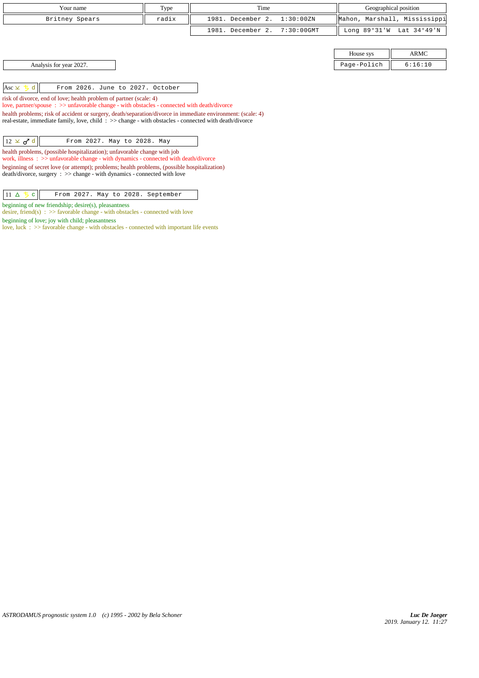| Your name                                                                                                                                                                                                            | Type  | Time                               |              | Geographical position        |  |
|----------------------------------------------------------------------------------------------------------------------------------------------------------------------------------------------------------------------|-------|------------------------------------|--------------|------------------------------|--|
| Britney Spears                                                                                                                                                                                                       | radix | 1981. December 2.<br>1:30:00ZN     |              | Mahon, Marshall, Mississippi |  |
|                                                                                                                                                                                                                      |       | 1981. December 2.<br>$7:30:00$ GMT | Long 89°31'W | Lat 34°49'N                  |  |
|                                                                                                                                                                                                                      |       |                                    |              |                              |  |
|                                                                                                                                                                                                                      |       |                                    | House sys    | ARMC                         |  |
| Analysis for year 2027.                                                                                                                                                                                              |       |                                    | Page-Polich  | 6:16:10                      |  |
|                                                                                                                                                                                                                      |       |                                    |              |                              |  |
| From 2026. June to 2027. October<br>Asc $\times$ 5<br>$\mathbf d$                                                                                                                                                    |       |                                    |              |                              |  |
| risk of divorce, end of love; health problem of partner (scale: 4)<br>love, partner/spouse : >> unfavorable change - with obstacles - connected with death/divorce                                                   |       |                                    |              |                              |  |
| health problems; risk of accident or surgery, death/separation/divorce in immediate environment: (scale: 4)<br>real-estate, immediate family, love, child: >> change - with obstacles - connected with death/divorce |       |                                    |              |                              |  |
|                                                                                                                                                                                                                      |       |                                    |              |                              |  |
| $12 \times d d$<br>From 2027. May to 2028. May                                                                                                                                                                       |       |                                    |              |                              |  |
| health problems, (possible hospitalization); unfavorable change with job<br>work, illness: >> unfavorable change - with dynamics - connected with death/divorce                                                      |       |                                    |              |                              |  |
| beginning of secret love (or attempt); problems; health problems, (possible hospitalization)<br>$death/divorce, surgery : >> change - with dynamics - connected with love$                                           |       |                                    |              |                              |  |
| 11 $\Delta$<br>From 2027. May to 2028. September                                                                                                                                                                     |       |                                    |              |                              |  |

beginning of new friendship; desire(s), pleasantness

beginning of love; joy with child; pleasantness

desire, friend(s) :  $\gg$  favorable change - with obstacles - connected with love

love, luck : >> favorable change - with obstacles - connected with important life events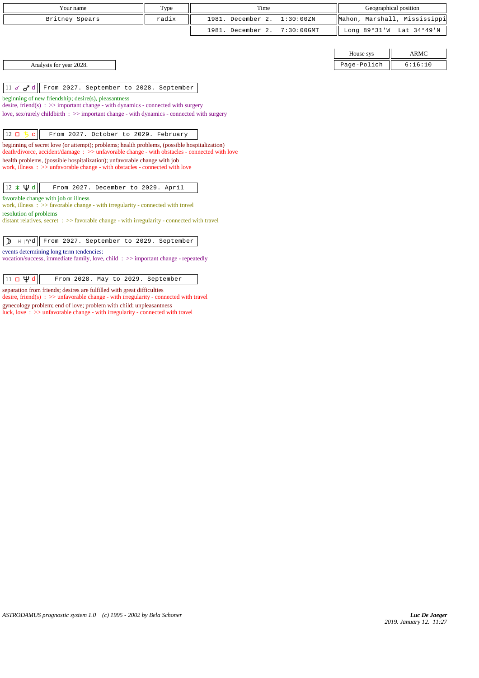| Your name      | Type  | Time                         | Geographical position        |
|----------------|-------|------------------------------|------------------------------|
| Britney Spears | radix | 1981. December 2. 1:30:00ZN  | Mahon, Marshall, Mississippi |
|                |       | 1981. December 2. 7:30:00GMT | Long 89°31'W Lat 34°49'N     |

| House sys                   |  |  |  |
|-----------------------------|--|--|--|
| $D = \alpha - D - i \alpha$ |  |  |  |

Analysis for year 2028. Page-Polich 6:16:10

 $\|11 \times d\|$  From 2027. September to 2028. September

beginning of new friendship; desire(s), pleasantness

desire, friend(s) : >> important change - with dynamics - connected with surgery love, sex/rarely childbirth : >> important change - with dynamics - connected with surgery

 $\begin{vmatrix} 12 \Box & \Box & \Box \end{vmatrix}$  From 2027. October to 2029. February

beginning of secret love (or attempt); problems; health problems, (possible hospitalization) death/divorce, accident/damage : >> unfavorable change - with obstacles - connected with love health problems, (possible hospitalization); unfavorable change with job work, illness :  $>$  unfavorable change - with obstacles - connected with love

 $\|12 \times \Psi d\|$  From 2027. December to 2029. April

favorable change with job or illness

work, illness : >> favorable change - with irregularity - connected with travel resolution of problems

distant relatives, secret : >> favorable change - with irregularity - connected with travel

# $\left| \right. \right)$   $\left| \right.$   $\left| \right.$   $\left| \right.$   $\left| \right.$   $\left| \right.$   $\left| \right.$   $\left| \right.$   $\left| \right.$   $\left| \right.$   $\left| \right.$   $\left| \right.$   $\left| \right.$   $\left| \right.$   $\left| \right.$   $\left| \right.$   $\left| \right.$   $\left| \right.$   $\left| \right.$   $\left| \right.$   $\left| \right.$   $\left| \right.$   $\left| \right.$   $\left| \right.$   $\$

events determining long term tendencies:

vocation/success, immediate family, love, child : >> important change - repeatedly

 $\boxed{11 \Box \Psi d}$  From 2028. May to 2029. September

separation from friends; desires are fulfilled with great difficulties desire, friend(s) : >> unfavorable change - with irregularity - connected with travel gynecology problem; end of love; problem with child; unpleasantness luck, love :  $>$  unfavorable change - with irregularity - connected with travel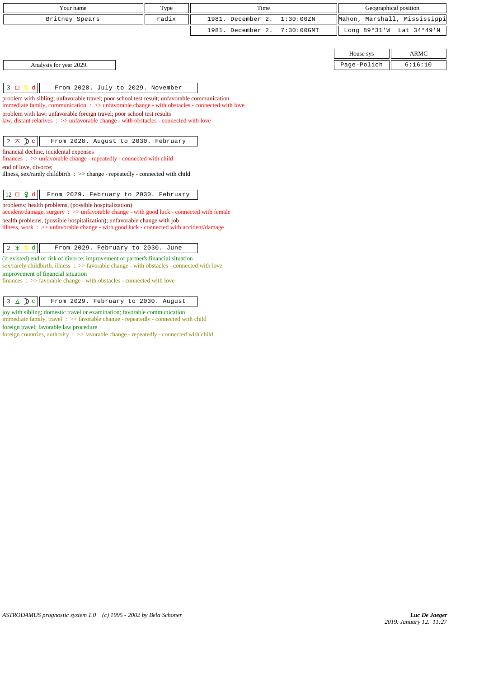| Your name                                       | Type  | Time                         | Geographical position |                              |
|-------------------------------------------------|-------|------------------------------|-----------------------|------------------------------|
| Britney Spears                                  | radix | 1981. December 2. 1:30:00ZN  |                       | Mahon, Marshall, Mississippi |
|                                                 |       | 1981. December 2. 7:30:00GMT |                       | Long 89°31'W Lat 34°49'N     |
|                                                 |       |                              |                       |                              |
|                                                 |       |                              | House sys             | ARMC                         |
| Analysis for year 2029.                         |       |                              | Page-Polich           | 6:16:10                      |
|                                                 |       |                              |                       |                              |
| 3 ロ ち d   <br>From 2028. July to 2029. November |       |                              |                       |                              |

problem with sibling; unfavorable travel; poor school test result; unfavorable communication immediate family, communication : >> unfavorable change - with obstacles - connected with love problem with law; unfavorable foreign travel; poor school test results law, distant relatives : >> unfavorable change - with obstacles - connected with love  $2 \times D c$  From 2028. August to 2030. February financial decline, incidental expenses finances : >> unfavorable change - repeatedly - connected with child

end of love, divorce;

illness, sex/rarely childbirth : >> change - repeatedly - connected with child

12 d From 2029. February to 2030. February

problems; health problems, (possible hospitalization)

accident/damage, surgery : >> unfavorable change - with good luck - connected with female health problems, (possible hospitalization); unfavorable change with job illness, work : >> unfavorable change - with good luck - connected with accident/damage

 $\begin{array}{|c|c|c|c|c|}\hline 2 & \times & 5 & d \\ \hline \end{array}$  From 2029. February to 2030. June

(if existed) end of risk of divorce; improvement of partner's financial situation sex/rarely childbirth, illness : >> favorable change - with obstacles - connected with love improvement of financial situation

finances : >> favorable change - with obstacles - connected with love

3 c From 2029. February to 2030. August

joy with sibling; domestic travel or examination; favorable communication

immediate family, travel : >> favorable change - repeatedly - connected with child foreign travel; favorable law procedure

foreign countries, authority :  $\gg$  favorable change - repeatedly - connected with child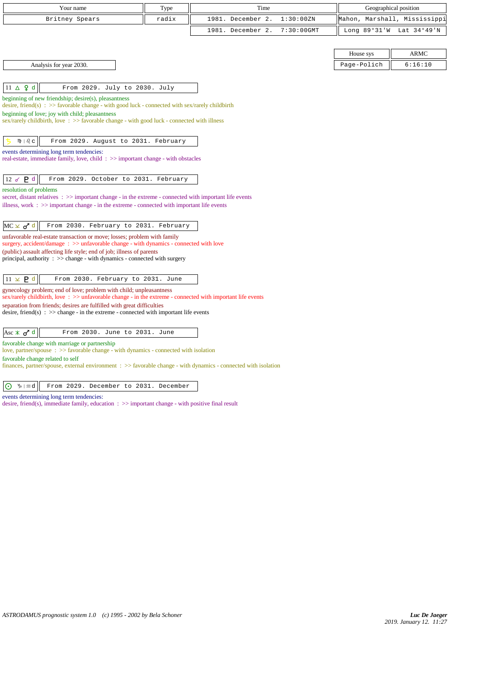| Your name                                                                                                                                                          | Type  | Time                               |                | Geographical position |
|--------------------------------------------------------------------------------------------------------------------------------------------------------------------|-------|------------------------------------|----------------|-----------------------|
| Britney Spears                                                                                                                                                     | radix | 1981. December 2.<br>1:30:00 ZN    | Mahon,         | Marshall, Mississippi |
|                                                                                                                                                                    |       | $7:30:00$ GMT<br>1981. December 2. | Long $89°31'W$ | Lat 34°49'N           |
|                                                                                                                                                                    |       |                                    |                |                       |
|                                                                                                                                                                    |       |                                    | House sys      | <b>ARMC</b>           |
| Analysis for year 2030.                                                                                                                                            |       |                                    | Page-Polich    | 6:16:10               |
|                                                                                                                                                                    |       |                                    |                |                       |
| $11 \triangle \varphi d$<br>From 2029. July to 2030. July                                                                                                          |       |                                    |                |                       |
| beginning of new friendship; desire(s), pleasantness                                                                                                               |       |                                    |                |                       |
| desire, friend(s) : $\gg$ favorable change - with good luck - connected with sex/rarely childbirth<br>beginning of love; joy with child; pleasantness              |       |                                    |                |                       |
| sex/rarely childbirth, love $\Rightarrow$ favorable change - with good luck - connected with illness                                                               |       |                                    |                |                       |
|                                                                                                                                                                    |       |                                    |                |                       |
| M)   <i>ပ</i> ြင<br>From 2029. August to 2031. February                                                                                                            |       |                                    |                |                       |
| events determining long term tendencies:<br>real-estate, immediate family, love, child: $\gg$ important change - with obstacles                                    |       |                                    |                |                       |
|                                                                                                                                                                    |       |                                    |                |                       |
| 12 $\sigma$ $P$ d<br>From 2029. October to 2031. February                                                                                                          |       |                                    |                |                       |
| resolution of problems                                                                                                                                             |       |                                    |                |                       |
| secret, distant relatives $\Rightarrow$ important change - in the extreme - connected with important life events                                                   |       |                                    |                |                       |
| illness, work $\Rightarrow$ > important change - in the extreme - connected with important life events                                                             |       |                                    |                |                       |
|                                                                                                                                                                    |       |                                    |                |                       |
| $MC \times d^d$<br>From 2030. February to 2031. February<br>unfavorable real-estate transaction or move; losses; problem with family                               |       |                                    |                |                       |
| surgery, accident/damage $\Rightarrow$ unfavorable change - with dynamics - connected with love                                                                    |       |                                    |                |                       |
| (public) assault affecting life style; end of job; illness of parents                                                                                              |       |                                    |                |                       |
| principal, authority $\Rightarrow$ > change - with dynamics - connected with surgery                                                                               |       |                                    |                |                       |
| $11 \times P d$<br>From 2030. February to 2031. June                                                                                                               |       |                                    |                |                       |
| gynecology problem; end of love; problem with child; unpleasantness                                                                                                |       |                                    |                |                       |
| sex/rarely childbirth, love: $\gg$ unfavorable change - in the extreme - connected with important life events                                                      |       |                                    |                |                       |
| separation from friends; desires are fulfilled with great difficulties<br>desire, friend(s) : $\gg$ change - in the extreme - connected with important life events |       |                                    |                |                       |
|                                                                                                                                                                    |       |                                    |                |                       |
| Asc $\angle$ o <sup>7</sup> d<br>From 2030. June to 2031. June                                                                                                     |       |                                    |                |                       |
| favorable change with marriage or partnership                                                                                                                      |       |                                    |                |                       |
| love, partner/spouse $\Rightarrow$ Savorable change - with dynamics - connected with isolation                                                                     |       |                                    |                |                       |
| favorable change related to self<br>finances, partner/spouse, external environment $\Rightarrow$ Savorable change - with dynamics - connected with isolation       |       |                                    |                |                       |
|                                                                                                                                                                    |       |                                    |                |                       |
| From 2029. December to 2031. December<br>$\odot$<br>∿ ⊦≈d                                                                                                          |       |                                    |                |                       |

events determining long term tendencies:

desire, friend(s), immediate family, education : >> important change - with positive final result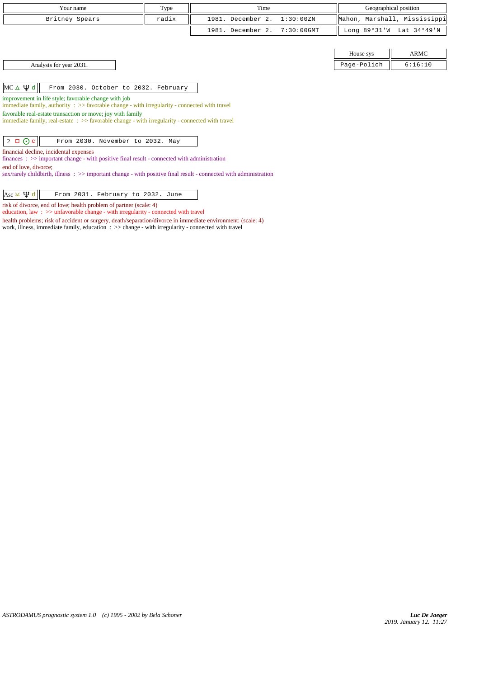| Your name                                                                                                                                                     | Type<br>Time                                                                                             |                                    | Geographical position |                              |  |  |
|---------------------------------------------------------------------------------------------------------------------------------------------------------------|----------------------------------------------------------------------------------------------------------|------------------------------------|-----------------------|------------------------------|--|--|
| Britney Spears                                                                                                                                                | radix                                                                                                    | 1981. December 2.<br>1:30:00ZN     |                       | Mahon, Marshall, Mississippi |  |  |
|                                                                                                                                                               |                                                                                                          | 1981. December 2.<br>$7:30:00$ GMT | Long $89°31'W$        | Lat 34°49'N                  |  |  |
|                                                                                                                                                               |                                                                                                          |                                    |                       |                              |  |  |
|                                                                                                                                                               |                                                                                                          |                                    | House sys             | <b>ARMC</b>                  |  |  |
| Analysis for year 2031.                                                                                                                                       |                                                                                                          |                                    | Page-Polich           | 6:16:10                      |  |  |
|                                                                                                                                                               |                                                                                                          |                                    |                       |                              |  |  |
| $MC \triangle \Psi d$<br>From 2030. October to 2032. February                                                                                                 |                                                                                                          |                                    |                       |                              |  |  |
| improvement in life style; favorable change with job                                                                                                          | immediate family, authority $\therefore$ >> favorable change - with irregularity - connected with travel |                                    |                       |                              |  |  |
| favorable real-estate transaction or move; joy with family<br>immediate family, real-estate : >> favorable change - with irregularity - connected with travel |                                                                                                          |                                    |                       |                              |  |  |
|                                                                                                                                                               |                                                                                                          |                                    |                       |                              |  |  |
| $2 \Box$ O c<br>From 2030. November to 2032. May                                                                                                              |                                                                                                          |                                    |                       |                              |  |  |
| financial decline, incidental expenses                                                                                                                        |                                                                                                          |                                    |                       |                              |  |  |
| $finances: \gg important change - with positive final result - connected with administration$<br>end of love, divorce;                                        |                                                                                                          |                                    |                       |                              |  |  |
| sex/rarely childbirth, illness: >> important change - with positive final result - connected with administration                                              |                                                                                                          |                                    |                       |                              |  |  |
|                                                                                                                                                               |                                                                                                          |                                    |                       |                              |  |  |
| Asc $\times$ $\mathfrak{P}$ d<br>From 2031. February to 2032. June                                                                                            |                                                                                                          |                                    |                       |                              |  |  |

risk of divorce, end of love; health problem of partner (scale: 4)

education, law : >> unfavorable change - with irregularity - connected with travel

health problems; risk of accident or surgery, death/separation/divorce in immediate environment: (scale: 4)

work, illness, immediate family, education : >> change - with irregularity - connected with travel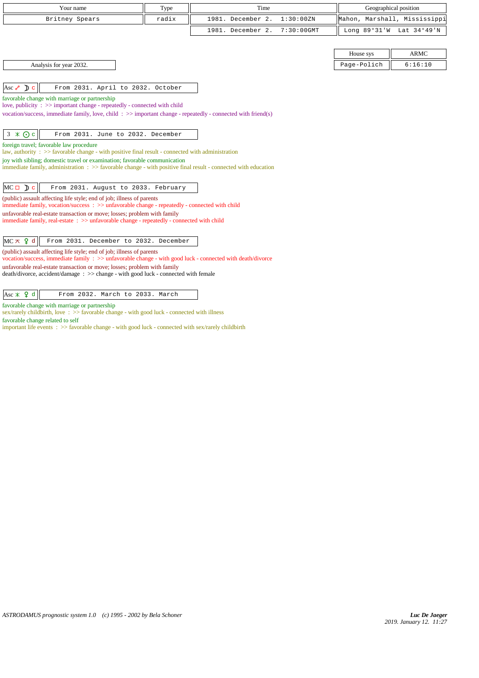| Your name                                                                                                                                                                                   | Type  | Time                               |             | Geographical position    |
|---------------------------------------------------------------------------------------------------------------------------------------------------------------------------------------------|-------|------------------------------------|-------------|--------------------------|
| Britney Spears                                                                                                                                                                              | radix | 1981. December 2.<br>1:30:00ZN     | Mahon,      | Marshall, Mississippi    |
|                                                                                                                                                                                             |       | 1981. December 2.<br>$7:30:00$ GMT |             | Long 89°31'W Lat 34°49'N |
|                                                                                                                                                                                             |       |                                    |             |                          |
|                                                                                                                                                                                             |       |                                    | House sys   | <b>ARMC</b>              |
| Analysis for year 2032.                                                                                                                                                                     |       |                                    | Page-Polich | 6:16:10                  |
| Asc $\sqrt{\phantom{a}}$ D c<br>From 2031. April to 2032. October                                                                                                                           |       |                                    |             |                          |
| favorable change with marriage or partnership                                                                                                                                               |       |                                    |             |                          |
| love, publicity : $\gg$ important change - repeatedly - connected with child                                                                                                                |       |                                    |             |                          |
| vocation/success, immediate family, love, child: $\gg$ important change - repeatedly - connected with friend(s)                                                                             |       |                                    |             |                          |
|                                                                                                                                                                                             |       |                                    |             |                          |
| $3 \times Qc$<br>From 2031. June to 2032. December                                                                                                                                          |       |                                    |             |                          |
| foreign travel; favorable law procedure                                                                                                                                                     |       |                                    |             |                          |
| law, authority : $\gg$ favorable change - with positive final result - connected with administration                                                                                        |       |                                    |             |                          |
| joy with sibling; domestic travel or examination; favorable communication<br>immediate family, administration : >> favorable change - with positive final result - connected with education |       |                                    |             |                          |
|                                                                                                                                                                                             |       |                                    |             |                          |
| $MC \Box$ $\Box$ $c$<br>From 2031. August to 2033. February                                                                                                                                 |       |                                    |             |                          |
| (public) assault affecting life style; end of job; illness of parents<br>immediate family, vocation/success: >> unfavorable change - repeatedly - connected with child                      |       |                                    |             |                          |
| unfavorable real-estate transaction or move; losses; problem with family                                                                                                                    |       |                                    |             |                          |
| immediate family, real-estate : >> unfavorable change - repeatedly - connected with child                                                                                                   |       |                                    |             |                          |
|                                                                                                                                                                                             |       |                                    |             |                          |
| $MC \times 9d$<br>From 2031. December to 2032. December                                                                                                                                     |       |                                    |             |                          |
| (public) assault affecting life style; end of job; illness of parents<br>vocation/success, immediate family : >> unfavorable change - with good luck - connected with death/divorce         |       |                                    |             |                          |
| unfavorable real-estate transaction or move; losses; problem with family                                                                                                                    |       |                                    |             |                          |
| death/divorce, accident/damage: >> change - with good luck - connected with female                                                                                                          |       |                                    |             |                          |
|                                                                                                                                                                                             |       |                                    |             |                          |
| Asc $\angle$ 4 d<br>From 2032. March to 2033. March                                                                                                                                         |       |                                    |             |                          |
| favorable change with marriage or partnership<br>sex/rarely childbirth, love: >> favorable change - with good luck - connected with illness                                                 |       |                                    |             |                          |

favorable change related to self important life events : >> favorable change - with good luck - connected with sex/rarely childbirth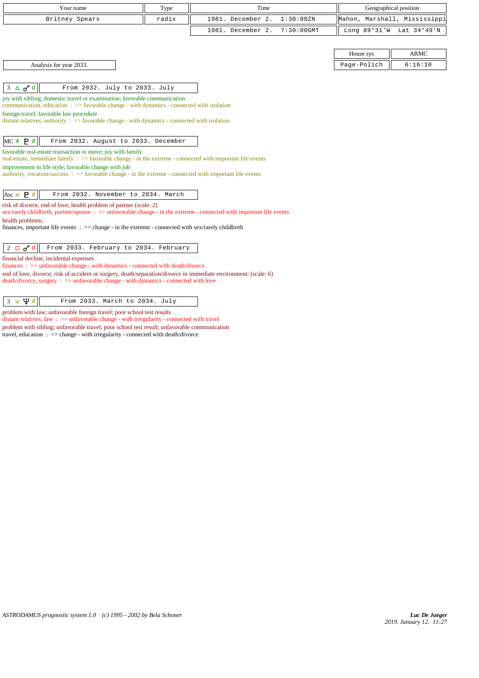|                         | Your name                                                                                                                                                                         | Type  | Time                               |             | Geographical position        |
|-------------------------|-----------------------------------------------------------------------------------------------------------------------------------------------------------------------------------|-------|------------------------------------|-------------|------------------------------|
|                         | Britney Spears                                                                                                                                                                    | radix | 1981. December 2.<br>1:30:00ZN     |             | Mahon, Marshall, Mississippi |
|                         |                                                                                                                                                                                   |       | 1981. December 2.<br>$7:30:00$ GMT |             | Long 89°31'W Lat 34°49'N     |
|                         |                                                                                                                                                                                   |       |                                    |             |                              |
|                         |                                                                                                                                                                                   |       |                                    | House sys   | <b>ARMC</b>                  |
|                         | Analysis for year 2033.                                                                                                                                                           |       |                                    | Page-Polich | 6:16:10                      |
|                         |                                                                                                                                                                                   |       |                                    |             |                              |
| $3 \triangle \sigma^d$  | From 2032. July to 2033. July                                                                                                                                                     |       |                                    |             |                              |
|                         | joy with sibling; domestic travel or examination; favorable communication<br>communication, education $\Rightarrow$ > favorable change - with dynamics - connected with isolation |       |                                    |             |                              |
|                         | foreign travel; favorable law procedure                                                                                                                                           |       |                                    |             |                              |
|                         | distant relatives, authority $\Rightarrow$ S favorable change - with dynamics - connected with isolation                                                                          |       |                                    |             |                              |
|                         | From 2032. August to 2033. December                                                                                                                                               |       |                                    |             |                              |
| MC X P d                | favorable real-estate transaction or move; joy with family                                                                                                                        |       |                                    |             |                              |
|                         | real-estate, immediate family : >> favorable change - in the extreme - connected with important life events                                                                       |       |                                    |             |                              |
|                         | improvement in life style; favorable change with job<br>authority, vocation/success: >> favorable change - in the extreme - connected with important life events                  |       |                                    |             |                              |
|                         |                                                                                                                                                                                   |       |                                    |             |                              |
| Asc $\times$ <b>P</b> d | From 2032. November to 2034. March                                                                                                                                                |       |                                    |             |                              |
|                         | risk of divorce, end of love; health problem of partner (scale: 2)                                                                                                                |       |                                    |             |                              |
| health problems;        | sex/rarely childbirth, partner/spouse : >> unfavorable change - in the extreme - connected with important life events                                                             |       |                                    |             |                              |
|                         | finances, important life events $\therefore$ >> change - in the extreme - connected with sex/rarely childbirth                                                                    |       |                                    |             |                              |
|                         |                                                                                                                                                                                   |       |                                    |             |                              |
| $2 \Box \sigma^d$       | From 2033. February to 2034. February                                                                                                                                             |       |                                    |             |                              |
|                         | financial decline, incidental expenses<br>finances: >> unfavorable change - with dynamics - connected with death/divorce                                                          |       |                                    |             |                              |
|                         | end of love, divorce; risk of accident or surgery, death/separation/divorce in immediate environment: (scale: 6)                                                                  |       |                                    |             |                              |
|                         | death/divorce, surgery : >> unfavorable change - with dynamics - connected with love                                                                                              |       |                                    |             |                              |
|                         |                                                                                                                                                                                   |       |                                    |             |                              |
| $3 \times \Psi d$       | From 2033. March to 2034. July                                                                                                                                                    |       |                                    |             |                              |

problem with law; unfavorable foreign travel; poor school test results

distant relatives, law : >> unfavorable change - with irregularity - connected with travel problem with sibling; unfavorable travel; poor school test result; unfavorable communication travel, education : >> change - with irregularity - connected with death/divorce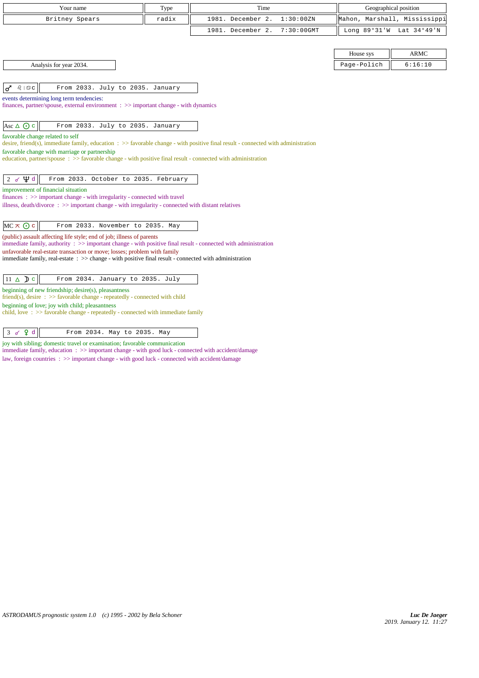| Your name                                                                                                                                                                                                   | Type  | Time                               |             | Geographical position        |
|-------------------------------------------------------------------------------------------------------------------------------------------------------------------------------------------------------------|-------|------------------------------------|-------------|------------------------------|
| Britney Spears                                                                                                                                                                                              | radix | 1981. December 2.<br>1:30:00ZN     |             | Mahon, Marshall, Mississippi |
|                                                                                                                                                                                                             |       | $7:30:00$ GMT<br>1981. December 2. |             | Long 89°31'W Lat 34°49'N     |
|                                                                                                                                                                                                             |       |                                    |             |                              |
|                                                                                                                                                                                                             |       |                                    | House sys   | <b>ARMC</b>                  |
| Analysis for year 2034.                                                                                                                                                                                     |       |                                    | Page-Polich | 6:16:10                      |
|                                                                                                                                                                                                             |       |                                    |             |                              |
| <i>ର</i> । ଦ୍ର c<br>From 2033. July to 2035. January<br>♂                                                                                                                                                   |       |                                    |             |                              |
| events determining long term tendencies:                                                                                                                                                                    |       |                                    |             |                              |
| finances, partner/spouse, external environment $\Rightarrow$ important change - with dynamics                                                                                                               |       |                                    |             |                              |
| Asc $\triangle$ $\odot$ c<br>From 2033. July to 2035. January                                                                                                                                               |       |                                    |             |                              |
| favorable change related to self                                                                                                                                                                            |       |                                    |             |                              |
| desire, friend(s), immediate family, education $\Rightarrow$ Savorable change - with positive final result - connected with administration                                                                  |       |                                    |             |                              |
| favorable change with marriage or partnership<br>education, partner/spouse $\Rightarrow$ Savorable change - with positive final result - connected with administration                                      |       |                                    |             |                              |
|                                                                                                                                                                                                             |       |                                    |             |                              |
| Ф₫<br>From 2033. October to 2035. February<br>2 <sub>o</sub>                                                                                                                                                |       |                                    |             |                              |
| improvement of financial situation                                                                                                                                                                          |       |                                    |             |                              |
| $finances : \gg important change - with irregularity - connected with travel$<br>illness, death/divorce $\Rightarrow$ $\Rightarrow$ important change - with irregularity - connected with distant relatives |       |                                    |             |                              |
|                                                                                                                                                                                                             |       |                                    |             |                              |
| $MC \times Q$ c<br>From 2033. November to 2035. May                                                                                                                                                         |       |                                    |             |                              |
| (public) assault affecting life style; end of job; illness of parents<br>immediate family, authority : >> important change - with positive final result - connected with administration                     |       |                                    |             |                              |
| unfavorable real-estate transaction or move; losses; problem with family                                                                                                                                    |       |                                    |             |                              |
| immediate family, real-estate : >> change - with positive final result - connected with administration                                                                                                      |       |                                    |             |                              |
| $11 \triangle$ Dc<br>From 2034. January to 2035. July                                                                                                                                                       |       |                                    |             |                              |
| beginning of new friendship; desire(s), pleasantness                                                                                                                                                        |       |                                    |             |                              |
| friend(s), desire $\Rightarrow$ > favorable change - repeatedly - connected with child                                                                                                                      |       |                                    |             |                              |
| beginning of love; joy with child; pleasantness<br>child, love $\Rightarrow$ >> favorable change - repeatedly - connected with immediate family                                                             |       |                                    |             |                              |
|                                                                                                                                                                                                             |       |                                    |             |                              |
| 9d<br>From 2034. May to 2035. May<br>3 <sub>o</sub>                                                                                                                                                         |       |                                    |             |                              |
| joy with sibling; domestic travel or examination; favorable communication                                                                                                                                   |       |                                    |             |                              |

immediate family, education :  $>$  important change - with good luck - connected with accident/damage

law, foreign countries : >> important change - with good luck - connected with accident/damage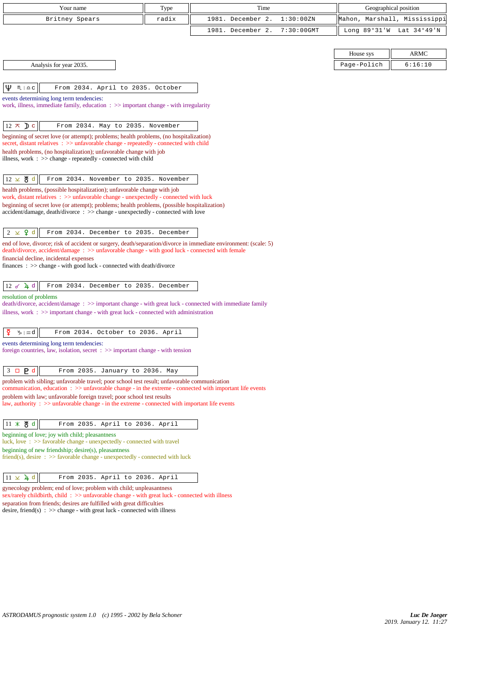| Your name                                                                                                                                                                                      | Type  | Time              |               |                | Geographical position |
|------------------------------------------------------------------------------------------------------------------------------------------------------------------------------------------------|-------|-------------------|---------------|----------------|-----------------------|
| Britney Spears                                                                                                                                                                                 | radix | 1981. December 2. | 1:30:00 ZN    | Mahon,         | Marshall, Mississippi |
|                                                                                                                                                                                                |       | 1981. December 2. | $7:30:00$ GMT | Long $89°31'W$ | Lat 34°49'N           |
|                                                                                                                                                                                                |       |                   |               |                |                       |
|                                                                                                                                                                                                |       |                   |               | House sys      | <b>ARMC</b>           |
| Analysis for year 2035.                                                                                                                                                                        |       |                   |               | Page-Polich    | 6:16:10               |
|                                                                                                                                                                                                |       |                   |               |                |                       |
| Ψ<br>$M \rvert \triangleq C$<br>From 2034. April to 2035. October                                                                                                                              |       |                   |               |                |                       |
| events determining long term tendencies:<br>work, illness, immediate family, education : >> important change - with irregularity                                                               |       |                   |               |                |                       |
|                                                                                                                                                                                                |       |                   |               |                |                       |
| $12 \times D c$<br>From 2034. May to 2035. November                                                                                                                                            |       |                   |               |                |                       |
| beginning of secret love (or attempt); problems; health problems, (no hospitalization)                                                                                                         |       |                   |               |                |                       |
| secret, distant relatives : >> unfavorable change - repeatedly - connected with child<br>health problems, (no hospitalization); unfavorable change with job                                    |       |                   |               |                |                       |
| illness, work : >> change - repeatedly - connected with child                                                                                                                                  |       |                   |               |                |                       |
|                                                                                                                                                                                                |       |                   |               |                |                       |
| 12 ⊻ ੴ d<br>From 2034. November to 2035. November                                                                                                                                              |       |                   |               |                |                       |
| health problems, (possible hospitalization); unfavorable change with job<br>work, distant relatives $\therefore$ $\gg$ unfavorable change - unexpectedly - connected with luck                 |       |                   |               |                |                       |
| beginning of secret love (or attempt); problems; health problems, (possible hospitalization)                                                                                                   |       |                   |               |                |                       |
| accident/damage, death/divorce : >> change - unexpectedly - connected with love                                                                                                                |       |                   |               |                |                       |
| $2 \times 9$ d<br>From 2034. December to 2035. December                                                                                                                                        |       |                   |               |                |                       |
| end of love, divorce; risk of accident or surgery, death/separation/divorce in immediate environment: (scale: 5)                                                                               |       |                   |               |                |                       |
| death/divorce, accident/damage: >> unfavorable change - with good luck - connected with female<br>financial decline, incidental expenses                                                       |       |                   |               |                |                       |
| finances : $\gg$ change - with good luck - connected with death/divorce                                                                                                                        |       |                   |               |                |                       |
|                                                                                                                                                                                                |       |                   |               |                |                       |
| $12 \times 4$ d<br>From 2034. December to 2035. December                                                                                                                                       |       |                   |               |                |                       |
| resolution of problems<br>death/divorce, accident/damage: >> important change - with great luck - connected with immediate family                                                              |       |                   |               |                |                       |
| illness, work $\Rightarrow$ important change - with great luck - connected with administration                                                                                                 |       |                   |               |                |                       |
|                                                                                                                                                                                                |       |                   |               |                |                       |
| ₽<br>$\mathcal{V}_{\mathcal{D}} \mid \mathfrak{A}$ d<br>From 2034. October to 2036. April                                                                                                      |       |                   |               |                |                       |
| events determining long term tendencies:<br>foreign countries, law, isolation, secret $\Rightarrow$ important change - with tension                                                            |       |                   |               |                |                       |
|                                                                                                                                                                                                |       |                   |               |                |                       |
| $3 \Box P d$<br>From 2035. January to 2036. May                                                                                                                                                |       |                   |               |                |                       |
| problem with sibling; unfavorable travel; poor school test result; unfavorable communication                                                                                                   |       |                   |               |                |                       |
| communication, education $\Rightarrow$ >> unfavorable change - in the extreme - connected with important life events<br>problem with law; unfavorable foreign travel; poor school test results |       |                   |               |                |                       |
| law, authority : $\gg$ unfavorable change - in the extreme - connected with important life events                                                                                              |       |                   |               |                |                       |
|                                                                                                                                                                                                |       |                   |               |                |                       |
| 11 $*$ 4 d<br>From 2035. April to 2036. April<br>beginning of love; joy with child; pleasantness                                                                                               |       |                   |               |                |                       |
| luck, love: >> favorable change - unexpectedly - connected with travel                                                                                                                         |       |                   |               |                |                       |
| beginning of new friendship; desire(s), pleasantness<br>friend(s), desire $\Rightarrow$ S favorable change - unexpectedly - connected with luck                                                |       |                   |               |                |                       |
|                                                                                                                                                                                                |       |                   |               |                |                       |
| $11 \times 4d$<br>From 2035. April to 2036. April                                                                                                                                              |       |                   |               |                |                       |
| gynecology problem; end of love; problem with child; unpleasantness                                                                                                                            |       |                   |               |                |                       |

sex/rarely child<br>birth, child  $\, : \, >>$  unfavorable change - with great luck - connected with illness separation from friends; desires are fulfilled with great difficulties desire, friend(s)  $\therefore$  >> change - with great luck - connected with illness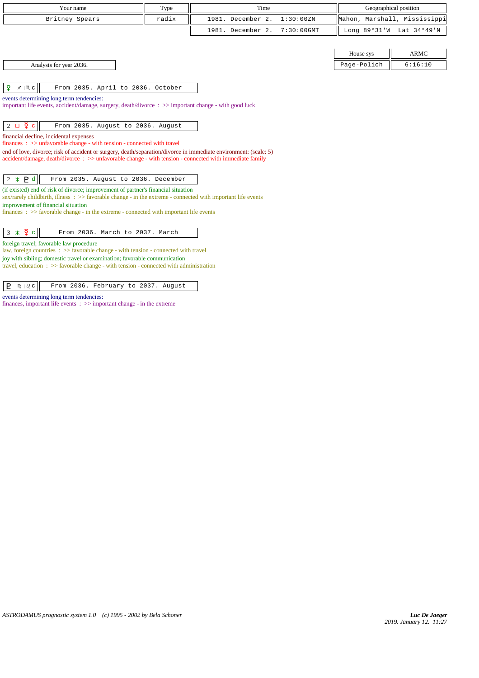| Your name                                                                                                                                                                                                                                                                                                                          | Type  | Time              |               | Geographical position        |             |
|------------------------------------------------------------------------------------------------------------------------------------------------------------------------------------------------------------------------------------------------------------------------------------------------------------------------------------|-------|-------------------|---------------|------------------------------|-------------|
| Britney Spears                                                                                                                                                                                                                                                                                                                     | radix | 1981. December 2. | 1:30:00 ZN    | Mahon, Marshall, Mississippi |             |
|                                                                                                                                                                                                                                                                                                                                    |       | 1981. December 2. | $7:30:00$ GMT | Long 89°31'W Lat 34°49'N     |             |
|                                                                                                                                                                                                                                                                                                                                    |       |                   |               |                              |             |
|                                                                                                                                                                                                                                                                                                                                    |       |                   |               | House sys                    | <b>ARMC</b> |
| Analysis for year 2036.                                                                                                                                                                                                                                                                                                            |       |                   |               | Page-Polich                  | 6:16:10     |
| ₽<br>$x \mid \mathbb{M}$ C<br>From 2035. April to 2036. October                                                                                                                                                                                                                                                                    |       |                   |               |                              |             |
| events determining long term tendencies:<br>important life events, accident/damage, surgery, death/divorce : >> important change - with good luck                                                                                                                                                                                  |       |                   |               |                              |             |
| $2 \Box \Phi c$<br>From 2035. August to 2036. August                                                                                                                                                                                                                                                                               |       |                   |               |                              |             |
| financial decline, incidental expenses<br>finances : >> unfavorable change - with tension - connected with travel                                                                                                                                                                                                                  |       |                   |               |                              |             |
| end of love, divorce; risk of accident or surgery, death/separation/divorce in immediate environment: (scale: 5)<br>$accident/damage$ , $death/divorce$ : $>>$ unfavorable change - with tension - connected with immediate family                                                                                                 |       |                   |               |                              |             |
| $2 * P d$<br>From 2035. August to 2036. December                                                                                                                                                                                                                                                                                   |       |                   |               |                              |             |
| (if existed) end of risk of divorce; improvement of partner's financial situation<br>sex/rarely childbirth, illness : >> favorable change - in the extreme - connected with important life events<br>improvement of financial situation<br>$finances: >> favorable change - in the extreme - connected with important life events$ |       |                   |               |                              |             |
| $3 \times \overline{2}$ c<br>From 2036. March to 2037. March                                                                                                                                                                                                                                                                       |       |                   |               |                              |             |
| foreign travel; favorable law procedure<br>law, foreign countries : >> favorable change - with tension - connected with travel                                                                                                                                                                                                     |       |                   |               |                              |             |
| joy with sibling; domestic travel or examination; favorable communication<br>travel, education $\Rightarrow$ >> favorable change - with tension - connected with administration                                                                                                                                                    |       |                   |               |                              |             |

 $\boxed{\mathbf{P}$   $\mathbb{N} \setminus \partial c}$  From 2036. February to 2037. August

events determining long term tendencies:

finances, important life events :  $\gg$  important change - in the extreme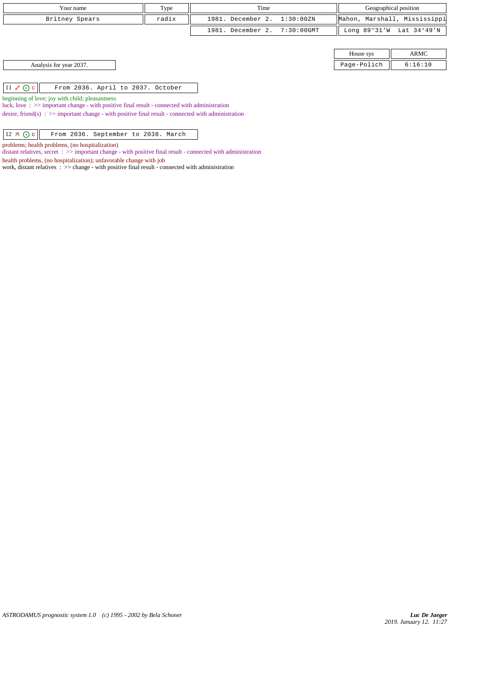| Your name                                                                                                                                                            | Type  | Time                         |  | Geographical position        |                          |
|----------------------------------------------------------------------------------------------------------------------------------------------------------------------|-------|------------------------------|--|------------------------------|--------------------------|
| Britney Spears                                                                                                                                                       | radix | 1981. December 2. 1:30:00ZN  |  | Mahon, Marshall, Mississippi |                          |
|                                                                                                                                                                      |       | 1981. December 2. 7:30:00GMT |  |                              | Long 89°31'W Lat 34°49'N |
|                                                                                                                                                                      |       |                              |  |                              |                          |
|                                                                                                                                                                      |       |                              |  | House sys                    | ARMC                     |
| Analysis for year 2037.                                                                                                                                              |       |                              |  | Page-Polich                  | 6:16:10                  |
|                                                                                                                                                                      |       |                              |  |                              |                          |
| $11 \& Oc$<br>From 2036. April to 2037. October                                                                                                                      |       |                              |  |                              |                          |
| The continuation of $\mathcal{L}$ is a contribution of the final particle of $\mathcal{L}$ and $\mathcal{L}$ are a contribution of the contribution of $\mathcal{L}$ |       |                              |  |                              |                          |

beginning of love; joy with child; pleasantness

luck, love : >> important change - with positive final result - connected with administration

desire, friend(s) : >> important change - with positive final result - connected with administration

 $\boxed{12 \times \bigodot c}$  From 2036. September to 2038. March

problems; health problems, (no hospitalization)

distant relatives, secret : >> important change - with positive final result - connected with administration

health problems, (no hospitalization); unfavorable change with job

work, distant relatives : >> change - with positive final result - connected with administration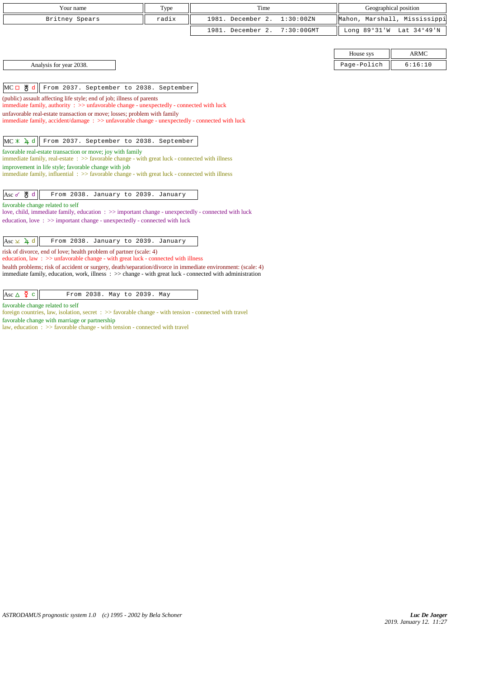| Your name                                                                                                                                                                                                               | Type  | Time              |               | Geographical position        |                          |
|-------------------------------------------------------------------------------------------------------------------------------------------------------------------------------------------------------------------------|-------|-------------------|---------------|------------------------------|--------------------------|
| Britney Spears                                                                                                                                                                                                          | radix | 1981. December 2. | 1:30:00ZN     | Mahon, Marshall, Mississippi |                          |
|                                                                                                                                                                                                                         |       | 1981. December 2. | $7:30:00$ GMT |                              | Long 89°31'W Lat 34°49'N |
|                                                                                                                                                                                                                         |       |                   |               |                              |                          |
|                                                                                                                                                                                                                         |       |                   |               | House sys                    | <b>ARMC</b>              |
| Analysis for year 2038.                                                                                                                                                                                                 |       |                   |               | Page-Polich                  | 6:16:10                  |
|                                                                                                                                                                                                                         |       |                   |               |                              |                          |
| MC□ 5d<br>From 2037. September to 2038. September                                                                                                                                                                       |       |                   |               |                              |                          |
| (public) assault affecting life style; end of job; illness of parents<br>immediate family, authority: >> unfavorable change - unexpectedly - connected with luck                                                        |       |                   |               |                              |                          |
| unfavorable real-estate transaction or move; losses; problem with family                                                                                                                                                |       |                   |               |                              |                          |
| immediate family, accident/damage: >> unfavorable change - unexpectedly - connected with luck                                                                                                                           |       |                   |               |                              |                          |
|                                                                                                                                                                                                                         |       |                   |               |                              |                          |
| From 2037. September to 2038. September<br>$MC * 1 d$                                                                                                                                                                   |       |                   |               |                              |                          |
| favorable real-estate transaction or move; joy with family<br>immediate family, real-estate $\Rightarrow$ > favorable change - with great luck - connected with illness                                                 |       |                   |               |                              |                          |
| improvement in life style; favorable change with job                                                                                                                                                                    |       |                   |               |                              |                          |
| immediate family, influential $\Rightarrow$ favorable change - with great luck - connected with illness                                                                                                                 |       |                   |               |                              |                          |
|                                                                                                                                                                                                                         |       |                   |               |                              |                          |
| $Asc \n\delta$ $\stackrel{\text{M}}{\bullet}$ d<br>From 2038. January to 2039. January                                                                                                                                  |       |                   |               |                              |                          |
| favorable change related to self                                                                                                                                                                                        |       |                   |               |                              |                          |
| love, child, immediate family, education : >> important change - unexpectedly - connected with luck<br>education, love: >> important change - unexpectedly - connected with luck                                        |       |                   |               |                              |                          |
|                                                                                                                                                                                                                         |       |                   |               |                              |                          |
| Asc $\times$ 4 d<br>From 2038. January to 2039. January                                                                                                                                                                 |       |                   |               |                              |                          |
| risk of divorce, end of love; health problem of partner (scale: 4)<br>education, law $\Rightarrow$ >> unfavorable change - with great luck - connected with illness                                                     |       |                   |               |                              |                          |
| health problems; risk of accident or surgery, death/separation/divorce in immediate environment: (scale: 4)<br>immediate family, education, work, illness : >> change - with great luck - connected with administration |       |                   |               |                              |                          |
|                                                                                                                                                                                                                         |       |                   |               |                              |                          |
| Asc $\triangle \ \ \frac{8}{4} c$<br>From 2038. May to 2039. May                                                                                                                                                        |       |                   |               |                              |                          |

favorable change related to self

foreign countries, law, isolation, secret : >> favorable change - with tension - connected with travel favorable change with marriage or partnership

law, education : >> favorable change - with tension - connected with travel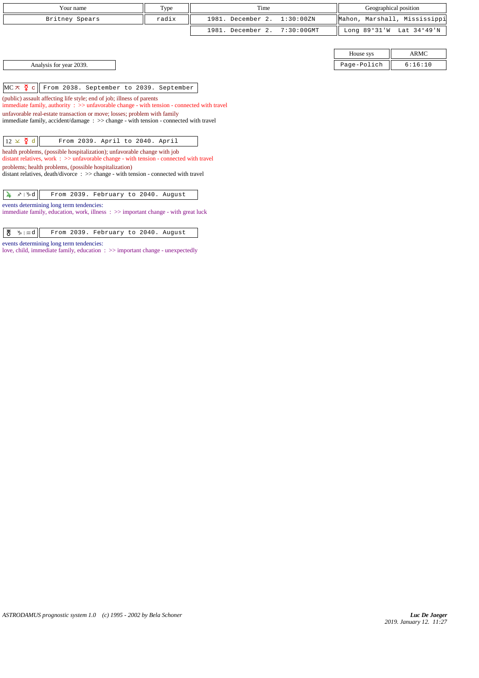| Your name      | Type  | Time                         | Geographical position                      |
|----------------|-------|------------------------------|--------------------------------------------|
| Britney Spears | radix | 1981. December 2. 1:30:00ZN  | Mahon, Marshall, Mississippi               |
|                |       | 1981. December 2. 7:30:00GMT | Long $89^{\circ}31'W$ Lat $34^{\circ}49'W$ |

 $MC \times$   $Q^c$  From 2038. September to 2039. September

(public) assault affecting life style; end of job; illness of parents immediate family, authority : >> unfavorable change - with tension - connected with travel unfavorable real-estate transaction or move; losses; problem with family immediate family, accident/damage : >> change - with tension - connected with travel

 $\boxed{12 \times \mathfrak{F}$  d  $\boxed{\phantom{1}}$  From 2039. April to 2040. April

health problems, (possible hospitalization); unfavorable change with job distant relatives, work : >> unfavorable change - with tension - connected with travel problems; health problems, (possible hospitalization)

distant relatives, death/divorce : >> change - with tension - connected with travel

 $\sqrt{4}$   $\sqrt{4}$   $\sqrt{6}$  From 2039. February to 2040. August

events determining long term tendencies:

immediate family, education, work, illness : >> important change - with great luck

 $\boxed{\text{#}$   $\boxed{y}$   $\boxed{\text{#}$   $\boxed{y}$   $\boxed{y}$   $\boxed{y}$   $\boxed{y}$   $\boxed{y}$   $\boxed{z}$   $\boxed{2039}$ . February to 2040. August

events determining long term tendencies:

love, child, immediate family, education : >> important change - unexpectedly

|                            | House sys                            | <b>ARMC</b>                                  |
|----------------------------|--------------------------------------|----------------------------------------------|
| 2039.<br>Analysis for year | Page-Pol<br>-Polich<br>۔ ۔<br>$\sim$ | $\pm 6:$ <sup>1</sup><br><b>TA</b><br>$\sim$ |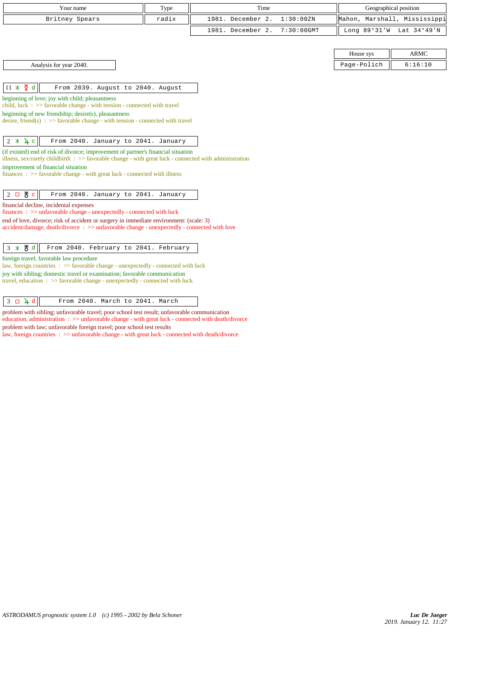| Your name               | Type  | Time                         |             | Geographical position        |
|-------------------------|-------|------------------------------|-------------|------------------------------|
| Britney Spears          | radix | 1981. December 2. 1:30:00ZN  |             | Mahon, Marshall, Mississippi |
|                         |       | 1981. December 2. 7:30:00GMT |             | Long 89°31'W Lat 34°49'N     |
|                         |       |                              |             |                              |
|                         |       |                              | House sys   | <b>ARMC</b>                  |
| Analysis for year 2040. |       |                              | Page-Polich | 6:16:10                      |

 $\left\|11 \times \frac{1}{2} \text{ d}\right\|$  From 2039. August to 2040. August

## beginning of love; joy with child; pleasantness

child, luck : >> favorable change - with tension - connected with travel

beginning of new friendship; desire(s), pleasantness

desire, friend(s) :  $\gg$  favorable change - with tension - connected with travel

 $\begin{vmatrix} 2 & \times & \lambda & c \end{vmatrix}$  From 2040. January to 2041. January

(if existed) end of risk of divorce; improvement of partner's financial situation

illness, sex/rarely childbirth : >> favorable change - with great luck - connected with administration improvement of financial situation

finances :  $\gg$  favorable change - with great luck - connected with illness

 $\begin{array}{|c|c|c|c|c|c|}\hline 2 & \textbf{B} & \textbf{C} & \textbf{From 2040. January to 2041. January} \hline \end{array}$ 

financial decline, incidental expenses

finances : >> unfavorable change - unexpectedly - connected with luck end of love, divorce; risk of accident or surgery in immediate environment: (scale: 3)

accident/damage, death/divorce : >> unfavorable change - unexpectedly - connected with love

 $\begin{array}{|c|c|c|c|c|}\hline 3 & \text{* } & \texttt{\#d} & \texttt{From 2040.} & \texttt{February to 2041.} & \texttt{February} \end{array}$ 

foreign travel; favorable law procedure

law, foreign countries : >> favorable change - unexpectedly - connected with luck joy with sibling; domestic travel or examination; favorable communication travel, education  $\Rightarrow$  >> favorable change - unexpectedly - connected with luck

 $\begin{array}{|c|c|c|c|c|}\n\hline\n3 & D & 4 & \hline\n\end{array}$  From 2040. March to 2041. March

problem with sibling; unfavorable travel; poor school test result; unfavorable communication education, administration : >> unfavorable change - with great luck - connected with death/divorce problem with law; unfavorable foreign travel; poor school test results law, foreign countries :  $\gg$  unfavorable change - with great luck - connected with death/divorce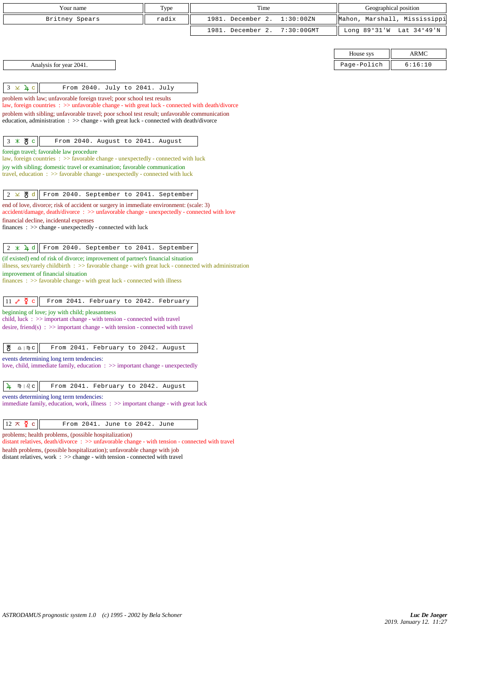| Your name                                                                                                                                                                                   | Type  | Time              |               |                | Geographical position |
|---------------------------------------------------------------------------------------------------------------------------------------------------------------------------------------------|-------|-------------------|---------------|----------------|-----------------------|
| Britney Spears                                                                                                                                                                              | radix | 1981. December 2. | 1:30:00 ZN    | Mahon,         | Marshall, Mississippi |
|                                                                                                                                                                                             |       | 1981. December 2. | $7:30:00$ GMT | Long $89°31'W$ | Lat 34°49'N           |
|                                                                                                                                                                                             |       |                   |               |                |                       |
|                                                                                                                                                                                             |       |                   |               | House sys      | ARMC                  |
| Analysis for year 2041.                                                                                                                                                                     |       |                   |               | Page-Polich    | 6:16:10               |
|                                                                                                                                                                                             |       |                   |               |                |                       |
| $3 \times 4c$<br>From 2040. July to 2041. July                                                                                                                                              |       |                   |               |                |                       |
| problem with law; unfavorable foreign travel; poor school test results<br>law, foreign countries : >> unfavorable change - with great luck - connected with death/divorce                   |       |                   |               |                |                       |
| problem with sibling; unfavorable travel; poor school test result; unfavorable communication                                                                                                |       |                   |               |                |                       |
| education, administration $\Rightarrow$ > change - with great luck - connected with death/divorce                                                                                           |       |                   |               |                |                       |
|                                                                                                                                                                                             |       |                   |               |                |                       |
| $3 * 8c$<br>From 2040. August to 2041. August                                                                                                                                               |       |                   |               |                |                       |
| foreign travel; favorable law procedure<br>law, foreign countries : >> favorable change - unexpectedly - connected with luck                                                                |       |                   |               |                |                       |
| joy with sibling; domestic travel or examination; favorable communication                                                                                                                   |       |                   |               |                |                       |
| travel, education : >> favorable change - unexpectedly - connected with luck                                                                                                                |       |                   |               |                |                       |
| From 2040. September to 2041. September<br>$2 \times 8$ d                                                                                                                                   |       |                   |               |                |                       |
| end of love, divorce; risk of accident or surgery in immediate environment: (scale: 3)                                                                                                      |       |                   |               |                |                       |
| accident/damage, death/divorce: >> unfavorable change - unexpectedly - connected with love                                                                                                  |       |                   |               |                |                       |
| financial decline, incidental expenses<br>$finances : \gg change - unexpectedly - connected with luck$                                                                                      |       |                   |               |                |                       |
|                                                                                                                                                                                             |       |                   |               |                |                       |
| From 2040. September to 2041. September<br>$2 \times 1 d$                                                                                                                                   |       |                   |               |                |                       |
| (if existed) end of risk of divorce; improvement of partner's financial situation<br>illness, sex/rarely childbirth : >> favorable change - with great luck - connected with administration |       |                   |               |                |                       |
| improvement of financial situation                                                                                                                                                          |       |                   |               |                |                       |
| $finances : \gg$ favorable change - with great luck - connected with illness                                                                                                                |       |                   |               |                |                       |
| $11 e^{\theta}$ $\Phi$ c<br>From 2041. February to 2042. February                                                                                                                           |       |                   |               |                |                       |
| beginning of love; joy with child; pleasantness                                                                                                                                             |       |                   |               |                |                       |
| child, luck $\Rightarrow$ important change - with tension - connected with travel                                                                                                           |       |                   |               |                |                       |
| desire, friend(s) : $\gg$ important change - with tension - connected with travel                                                                                                           |       |                   |               |                |                       |
| 쁑<br>$\underline{\mathbf{a}}$   $\mathbf{m}$ $\underline{\mathbf{c}}$<br>From 2041. February to 2042. August                                                                                |       |                   |               |                |                       |
| events determining long term tendencies:                                                                                                                                                    |       |                   |               |                |                       |
| love, child, immediate family, education : >> important change - unexpectedly                                                                                                               |       |                   |               |                |                       |
| M)   ပ <i>ြ</i> င<br>From 2041. February to 2042. August<br>4                                                                                                                               |       |                   |               |                |                       |
| events determining long term tendencies:                                                                                                                                                    |       |                   |               |                |                       |
| immediate family, education, work, illness : >> important change - with great luck                                                                                                          |       |                   |               |                |                       |
|                                                                                                                                                                                             |       |                   |               |                |                       |
| $12 \times \mathfrak{p}$ c<br>From 2041. June to 2042. June                                                                                                                                 |       |                   |               |                |                       |
| problems; health problems, (possible hospitalization)<br>distant relatives, $death/divorce$ : $\gg$ unfavorable change - with tension - connected with travel                               |       |                   |               |                |                       |

health problems, (possible hospitalization); unfavorable change with job

distant relatives, work : >> change - with tension - connected with travel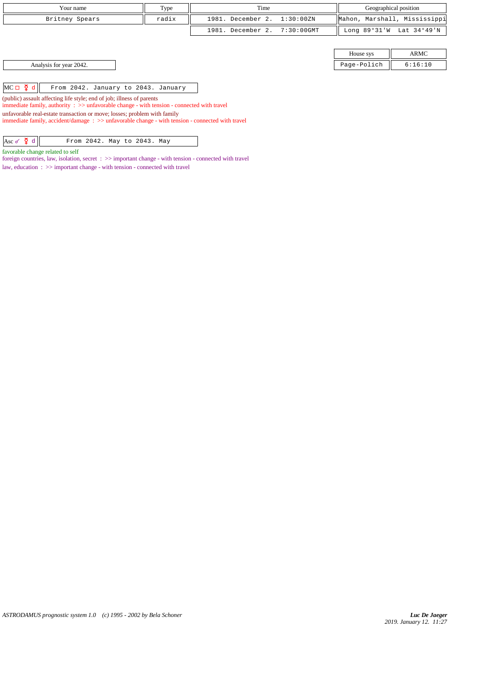| Your name                                                                                                                                                                                    | Type  | Time              |               | Geographical position        |             |
|----------------------------------------------------------------------------------------------------------------------------------------------------------------------------------------------|-------|-------------------|---------------|------------------------------|-------------|
| Britney Spears                                                                                                                                                                               | radix | 1981. December 2. | 1:30:00ZN     | Mahon, Marshall, Mississippi |             |
|                                                                                                                                                                                              |       | 1981. December 2. | $7:30:00$ GMT | Long $89°31'W$               | Lat 34°49'N |
|                                                                                                                                                                                              |       |                   |               |                              |             |
|                                                                                                                                                                                              |       |                   |               | House sys                    | ARMC        |
| Analysis for year 2042.                                                                                                                                                                      |       |                   |               | Page-Polich                  | 6:16:10     |
|                                                                                                                                                                                              |       |                   |               |                              |             |
| $MC \Box \Phi d$<br>From 2042. January to 2043. January                                                                                                                                      |       |                   |               |                              |             |
| (public) assault affecting life style; end of job; illness of parents<br>immediate family, authority $\Rightarrow$ > $\Rightarrow$ unfavorable change - with tension - connected with travel |       |                   |               |                              |             |
| unfavorable real-estate transaction or move; losses; problem with family<br>immediate family, accident/damage: $\gg$ unfavorable change - with tension - connected with travel               |       |                   |               |                              |             |
|                                                                                                                                                                                              |       |                   |               |                              |             |
| Asc $\sigma$ $\Phi$ d<br>From 2042. May to 2043. May                                                                                                                                         |       |                   |               |                              |             |

favorable change related to self

foreign countries, law, isolation, secret : >> important change - with tension - connected with travel

law, education : >> important change - with tension - connected with travel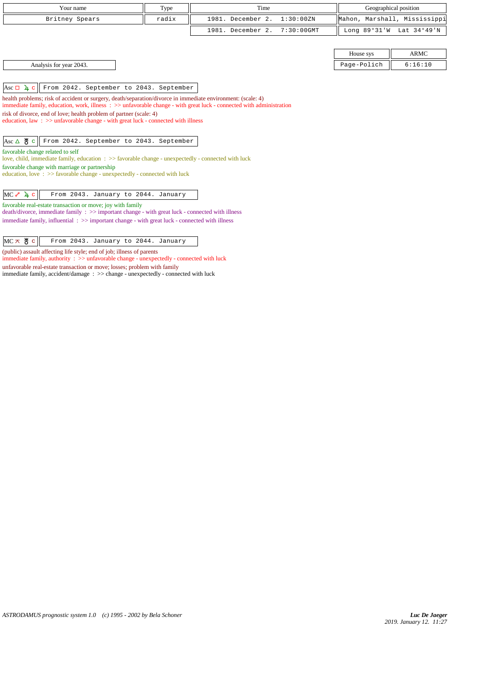| Your name      | Type  | Time                         | Geographical position        |  |
|----------------|-------|------------------------------|------------------------------|--|
| Britney Spears | radix | 1981. December 2. 1:30:00ZN  | Mahon, Marshall, Mississippi |  |
|                |       | 1981. December 2. 7:30:00GMT | Long 89°31'W Lat 34°49'N     |  |

| House sys | $\bf{M}$ |  |
|-----------|----------|--|
|           |          |  |

Analysis for year 2043.

 $|{\text{Asc}} \Box \psi \rangle$  From 2042. September to 2043. September

health problems; risk of accident or surgery, death/separation/divorce in immediate environment: (scale: 4)

immediate family, education, work, illness : >> unfavorable change - with great luck - connected with administration risk of divorce, end of love; health problem of partner (scale: 4)

education, law :  $\gg$  unfavorable change - with great luck - connected with illness

Asc  $\Delta$   $\frac{M}{O}$  c From 2042. September to 2043. September

favorable change related to self

love, child, immediate family, education : >> favorable change - unexpectedly - connected with luck favorable change with marriage or partnership

education, love :  $\gg$  favorable change - unexpectedly - connected with luck

 $MC \rightharpoonup \rightharpoonup$  From 2043. January to 2044. January

favorable real-estate transaction or move; joy with family

death/divorce, immediate family : >> important change - with great luck - connected with illness immediate family, influential : >> important change - with great luck - connected with illness

 $MC \times BC$   $c$  From 2043. January to 2044. January

(public) assault affecting life style; end of job; illness of parents

immediate family, authority : >> unfavorable change - unexpectedly - connected with luck

unfavorable real-estate transaction or move; losses; problem with family immediate family, accident/damage : >> change - unexpectedly - connected with luck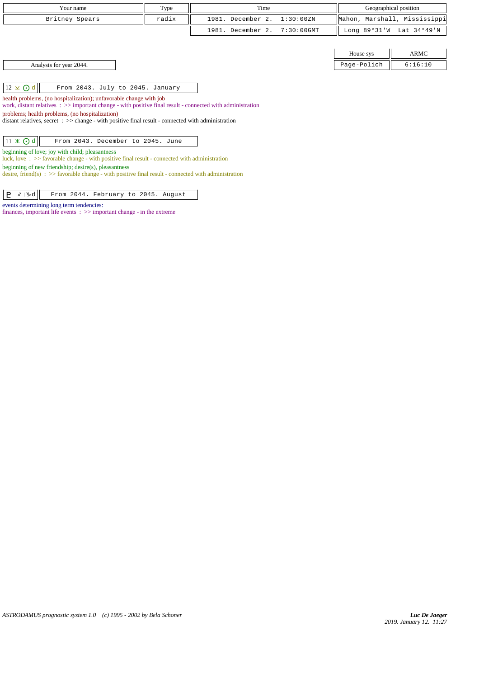| Your name      | Type  | Time                         | Geographical position |                              |
|----------------|-------|------------------------------|-----------------------|------------------------------|
| Britney Spears | radix | 1981. December 2. 1:30:00ZN  |                       | Mahon, Marshall, Mississippi |
|                |       | 1981. December 2. 7:30:00GMT |                       | Long 89°31'W Lat 34°49'N     |
|                |       |                              |                       |                              |
|                |       |                              | House sys             | <b>ARMC</b>                  |

Analysis for year 2044. 2.16:10

 $\vert 12 \times 0 \vert$  From 2043. July to 2045. January

health problems, (no hospitalization); unfavorable change with job

work, distant relatives : >> important change - with positive final result - connected with administration

problems; health problems, (no hospitalization)

distant relatives, secret : >> change - with positive final result - connected with administration

# $\boxed{11 \times \text{Od}}$  From 2043. December to 2045. June

beginning of love; joy with child; pleasantness

luck, love : >> favorable change - with positive final result - connected with administration beginning of new friendship; desire(s), pleasantness

desire, friend(s) :  $\gg$  favorable change - with positive final result - connected with administration

 $\boxed{\mathbf{P} \times \mathbb{R} \mathbb{d}}$  From 2044. February to 2045. August

### events determining long term tendencies:

finances, important life events : >> important change - in the extreme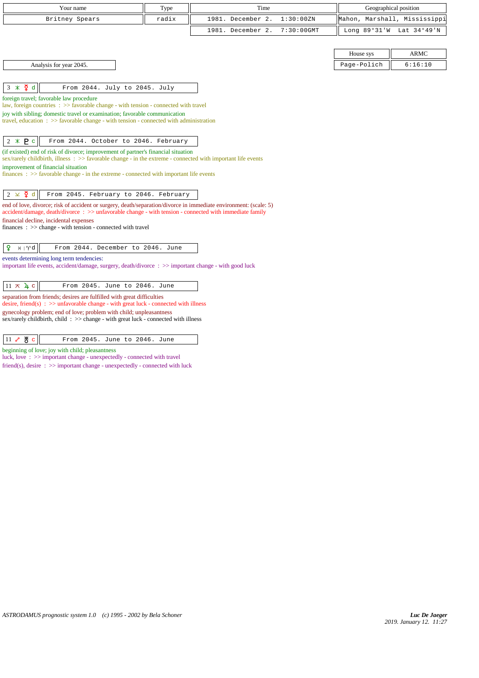| Your name                                                                                                                                                                                                                  | Type  | Time                               | Geographical position        |                          |
|----------------------------------------------------------------------------------------------------------------------------------------------------------------------------------------------------------------------------|-------|------------------------------------|------------------------------|--------------------------|
| Britney Spears                                                                                                                                                                                                             | radix | 1981. December 2.<br>1:30:00ZN     | Mahon, Marshall, Mississippi |                          |
|                                                                                                                                                                                                                            |       | 1981. December 2.<br>$7:30:00$ GMT |                              | Long 89°31'W Lat 34°49'N |
|                                                                                                                                                                                                                            |       |                                    |                              |                          |
|                                                                                                                                                                                                                            |       |                                    | House sys                    | <b>ARMC</b>              |
| Analysis for year 2045.                                                                                                                                                                                                    |       |                                    | Page-Polich                  | 6:16:10                  |
|                                                                                                                                                                                                                            |       |                                    |                              |                          |
| $3 \times \Sigma$ d<br>From 2044. July to 2045. July                                                                                                                                                                       |       |                                    |                              |                          |
| foreign travel; favorable law procedure<br>law, foreign countries $\Rightarrow$ Savorable change - with tension - connected with travel                                                                                    |       |                                    |                              |                          |
| joy with sibling; domestic travel or examination; favorable communication                                                                                                                                                  |       |                                    |                              |                          |
| travel, education $\Rightarrow$ favorable change - with tension - connected with administration                                                                                                                            |       |                                    |                              |                          |
| $2 * P c$<br>From 2044. October to 2046. February                                                                                                                                                                          |       |                                    |                              |                          |
| (if existed) end of risk of divorce; improvement of partner's financial situation                                                                                                                                          |       |                                    |                              |                          |
| sex/rarely childbirth, illness : >> favorable change - in the extreme - connected with important life events                                                                                                               |       |                                    |                              |                          |
| improvement of financial situation<br>finances $\Rightarrow$ $\Rightarrow$ favorable change - in the extreme - connected with important life events                                                                        |       |                                    |                              |                          |
|                                                                                                                                                                                                                            |       |                                    |                              |                          |
| $2 \times \xi$ d<br>From 2045. February to 2046. February                                                                                                                                                                  |       |                                    |                              |                          |
| end of love, divorce; risk of accident or surgery, death/separation/divorce in immediate environment: (scale: 5)<br>accident/damage, death/divorce: >> unfavorable change - with tension - connected with immediate family |       |                                    |                              |                          |
| financial decline, incidental expenses                                                                                                                                                                                     |       |                                    |                              |                          |
| finances : $\gg$ change - with tension - connected with travel                                                                                                                                                             |       |                                    |                              |                          |
| ¥<br>From 2044. December to 2046. June<br>$H \mid \mathcal{V}d$                                                                                                                                                            |       |                                    |                              |                          |
| events determining long term tendencies:                                                                                                                                                                                   |       |                                    |                              |                          |
| important life events, accident/damage, surgery, death/divorce : >> important change - with good luck                                                                                                                      |       |                                    |                              |                          |
|                                                                                                                                                                                                                            |       |                                    |                              |                          |
| $11 \times 4c$<br>From 2045. June to 2046. June                                                                                                                                                                            |       |                                    |                              |                          |
| separation from friends; desires are fulfilled with great difficulties<br>desire, friend(s) : $\gg$ unfavorable change - with great luck - connected with illness                                                          |       |                                    |                              |                          |
| gynecology problem; end of love; problem with child; unpleasantness                                                                                                                                                        |       |                                    |                              |                          |
| sex/rarely childbirth, child: >> change - with great luck - connected with illness                                                                                                                                         |       |                                    |                              |                          |

11 & 8 c From 2045. June to 2046. June

beginning of love; joy with child; pleasantness

luck, love : >> important change - unexpectedly - connected with travel

friend(s), desire : >> important change - unexpectedly - connected with luck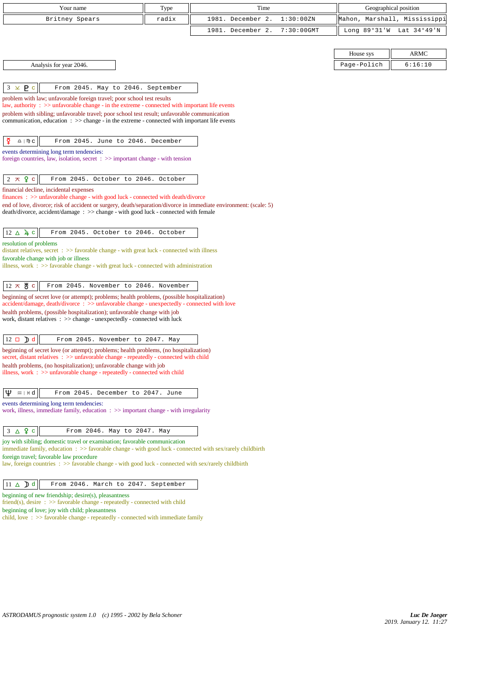| Your name                                                                                                                                                                                               | Type  | Time              |               | Geographical position        |             |
|---------------------------------------------------------------------------------------------------------------------------------------------------------------------------------------------------------|-------|-------------------|---------------|------------------------------|-------------|
| Britney Spears                                                                                                                                                                                          | radix | 1981. December 2. | 1:30:00ZN     | Mahon, Marshall, Mississippi |             |
|                                                                                                                                                                                                         |       | 1981. December 2. | $7:30:00$ GMT | Long $89°31'W$               | Lat 34°49'N |
|                                                                                                                                                                                                         |       |                   |               |                              |             |
|                                                                                                                                                                                                         |       |                   |               | House sys                    | <b>ARMC</b> |
| Analysis for year 2046.                                                                                                                                                                                 |       |                   |               | Page-Polich                  | 6:16:10     |
|                                                                                                                                                                                                         |       |                   |               |                              |             |
| $3 \times P$ c<br>From 2045. May to 2046. September                                                                                                                                                     |       |                   |               |                              |             |
| problem with law; unfavorable foreign travel; poor school test results                                                                                                                                  |       |                   |               |                              |             |
| law, authority : $\gg$ unfavorable change - in the extreme - connected with important life events<br>problem with sibling; unfavorable travel; poor school test result; unfavorable communication       |       |                   |               |                              |             |
| communication, education $\Rightarrow$ > change - in the extreme - connected with important life events                                                                                                 |       |                   |               |                              |             |
|                                                                                                                                                                                                         |       |                   |               |                              |             |
| ₽<br>From 2045. June to 2046. December<br>$\underline{\Omega}$   $\mathfrak{m}$ $\underline{\mathbf{C}}$                                                                                                |       |                   |               |                              |             |
| events determining long term tendencies:<br>foreign countries, law, isolation, secret $\Rightarrow$ important change - with tension                                                                     |       |                   |               |                              |             |
|                                                                                                                                                                                                         |       |                   |               |                              |             |
| $2 \times 9$ c<br>From 2045. October to 2046. October                                                                                                                                                   |       |                   |               |                              |             |
| financial decline, incidental expenses                                                                                                                                                                  |       |                   |               |                              |             |
| finances : >> unfavorable change - with good luck - connected with death/divorce                                                                                                                        |       |                   |               |                              |             |
| end of love, divorce; risk of accident or surgery, death/separation/divorce in immediate environment: (scale: 5)<br>death/divorce, accident/damage : >> change - with good luck - connected with female |       |                   |               |                              |             |
|                                                                                                                                                                                                         |       |                   |               |                              |             |
| $12 \triangle 4c$<br>From 2045. October to 2046. October                                                                                                                                                |       |                   |               |                              |             |
| resolution of problems                                                                                                                                                                                  |       |                   |               |                              |             |
| distant relatives, secret $\Rightarrow$ Savorable change - with great luck - connected with illness<br>favorable change with job or illness                                                             |       |                   |               |                              |             |
| illness, work $\Rightarrow$ 5 favorable change - with great luck - connected with administration                                                                                                        |       |                   |               |                              |             |
|                                                                                                                                                                                                         |       |                   |               |                              |             |
| $12 \times 8$ c<br>From 2045. November to 2046. November                                                                                                                                                |       |                   |               |                              |             |
| beginning of secret love (or attempt); problems; health problems, (possible hospitalization)<br>$accident/damage$ , $death/divorce$ : $\gg$ unfavorable change - unexpectedly - connected with love     |       |                   |               |                              |             |
| health problems, (possible hospitalization); unfavorable change with job                                                                                                                                |       |                   |               |                              |             |
| work, distant relatives : >> change - unexpectedly - connected with luck                                                                                                                                |       |                   |               |                              |             |
| $12 \Box$ d<br>From 2045. November to 2047. May                                                                                                                                                         |       |                   |               |                              |             |
| beginning of secret love (or attempt); problems; health problems, (no hospitalization)                                                                                                                  |       |                   |               |                              |             |
| secret, distant relatives : >> unfavorable change - repeatedly - connected with child                                                                                                                   |       |                   |               |                              |             |
| health problems, (no hospitalization); unfavorable change with job<br>illness, work $\Rightarrow$ >> unfavorable change - repeatedly - connected with child                                             |       |                   |               |                              |             |
|                                                                                                                                                                                                         |       |                   |               |                              |             |
| Ψ<br>$m + H$<br>From 2045. December to 2047. June                                                                                                                                                       |       |                   |               |                              |             |
| events determining long term tendencies:                                                                                                                                                                |       |                   |               |                              |             |
| work, illness, immediate family, education $\Rightarrow$ important change - with irregularity                                                                                                           |       |                   |               |                              |             |
|                                                                                                                                                                                                         |       |                   |               |                              |             |
| $3 \Delta$ $9$ c<br>From 2046. May to 2047. May                                                                                                                                                         |       |                   |               |                              |             |
| joy with sibling; domestic travel or examination; favorable communication<br>immediate family, education $\Rightarrow$ Savorable change - with good luck - connected with sex/rarely childbirth         |       |                   |               |                              |             |
| foreign travel; favorable law procedure<br>law, foreign countries $\Rightarrow$ Savorable change - with good luck - connected with sex/rarely childbirth                                                |       |                   |               |                              |             |
|                                                                                                                                                                                                         |       |                   |               |                              |             |
| $11 \triangle \text{D}$ d<br>From 2046. March to 2047. September                                                                                                                                        |       |                   |               |                              |             |
| beginning of new friendship; desire(s), pleasantness                                                                                                                                                    |       |                   |               |                              |             |
| friend(s), desire $\Rightarrow$ 5 favorable change - repeatedly - connected with child                                                                                                                  |       |                   |               |                              |             |
| beginning of love; joy with child; pleasantness<br>child, love $\Rightarrow$ favorable change - repeatedly - connected with immediate family                                                            |       |                   |               |                              |             |
|                                                                                                                                                                                                         |       |                   |               |                              |             |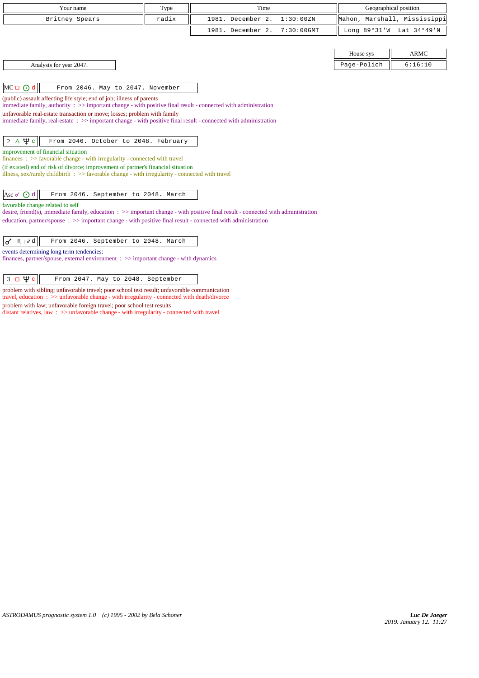| Your name                                                                                                                                                                                                                                                                                                                                                                                       | Type  | Time                               | Geographical position        |                          |
|-------------------------------------------------------------------------------------------------------------------------------------------------------------------------------------------------------------------------------------------------------------------------------------------------------------------------------------------------------------------------------------------------|-------|------------------------------------|------------------------------|--------------------------|
| Britney Spears                                                                                                                                                                                                                                                                                                                                                                                  | radix | 1981. December 2.<br>1:30:00 ZN    | Mahon, Marshall, Mississippi |                          |
|                                                                                                                                                                                                                                                                                                                                                                                                 |       | 1981. December 2.<br>$7:30:00$ GMT |                              | Long 89°31'W Lat 34°49'N |
|                                                                                                                                                                                                                                                                                                                                                                                                 |       |                                    |                              |                          |
|                                                                                                                                                                                                                                                                                                                                                                                                 |       |                                    | House sys                    | <b>ARMC</b>              |
| Analysis for year 2047.                                                                                                                                                                                                                                                                                                                                                                         |       |                                    | Page-Polich                  | 6:16:10                  |
|                                                                                                                                                                                                                                                                                                                                                                                                 |       |                                    |                              |                          |
| $MC \Box$ $\odot$ d<br>From 2046. May to 2047. November                                                                                                                                                                                                                                                                                                                                         |       |                                    |                              |                          |
| (public) assault affecting life style; end of job; illness of parents<br>immediate family, authority $\Rightarrow$ important change - with positive final result - connected with administration<br>unfavorable real-estate transaction or move; losses; problem with family<br>immediate family, real-estate: >> important change - with positive final result - connected with administration |       |                                    |                              |                          |
| $2\Delta\Psi$ c<br>From 2046. October to 2048. February<br>improvement of financial situation<br>finances : >> favorable change - with irregularity - connected with travel                                                                                                                                                                                                                     |       |                                    |                              |                          |
| (if existed) end of risk of divorce; improvement of partner's financial situation<br>illness, sex/rarely childbirth $\therefore$ >> favorable change - with irregularity - connected with travel                                                                                                                                                                                                |       |                                    |                              |                          |
| Asc o ⊙ d<br>From 2046. September to 2048. March                                                                                                                                                                                                                                                                                                                                                |       |                                    |                              |                          |
| favorable change related to self<br>desire, friend(s), immediate family, education $\Rightarrow$ important change - with positive final result - connected with administration                                                                                                                                                                                                                  |       |                                    |                              |                          |
| education, partner/spouse : >> important change - with positive final result - connected with administration                                                                                                                                                                                                                                                                                    |       |                                    |                              |                          |
| From 2046. September to 2048. March<br>♂<br>$M \mid x d$                                                                                                                                                                                                                                                                                                                                        |       |                                    |                              |                          |
| events determining long term tendencies:<br>finances, partner/spouse, external environment $\Rightarrow$ important change - with dynamics                                                                                                                                                                                                                                                       |       |                                    |                              |                          |
| пΨс<br>3<br>From 2047. May to 2048. September                                                                                                                                                                                                                                                                                                                                                   |       |                                    |                              |                          |

problem with sibling; unfavorable travel; poor school test result; unfavorable communication travel, education : >> unfavorable change - with irregularity - connected with death/divorce problem with law; unfavorable foreign travel; poor school test results

distant relatives, law : >> unfavorable change - with irregularity - connected with travel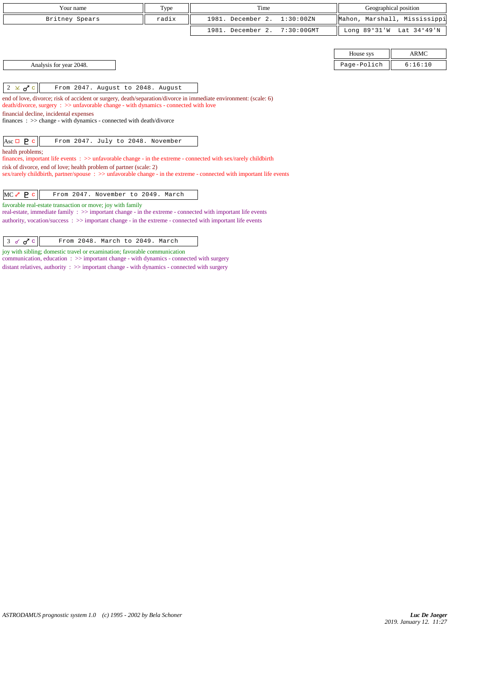| Your name               | Type  | Time<br>Geographical position |             |                              |
|-------------------------|-------|-------------------------------|-------------|------------------------------|
| Britney Spears          | radix | 1981. December 2. 1:30:00ZN   |             | Mahon, Marshall, Mississippi |
|                         |       | 1981. December 2. 7:30:00GMT  |             | Long 89°31'W Lat 34°49'N     |
|                         |       |                               |             |                              |
|                         |       |                               | House sys   | ARMC                         |
| Analysis for year 2048. |       |                               | Page-Polich | 6:16:10                      |

 $\begin{vmatrix} 2 & \times \end{vmatrix}$  From 2047. August to 2048. August

end of love, divorce; risk of accident or surgery, death/separation/divorce in immediate environment: (scale: 6) death/divorce, surgery : >> unfavorable change - with dynamics - connected with love financial decline, incidental expenses finances : >> change - with dynamics - connected with death/divorce

# Asc  $\Box$   $\bf{P}$  c  $\parallel$  From 2047. July to 2048. November

health problems;

finances, important life events : >> unfavorable change - in the extreme - connected with sex/rarely childbirth risk of divorce, end of love; health problem of partner (scale: 2) sex/rarely childbirth, partner/spouse :  $\gg$  unfavorable change - in the extreme - connected with important life events

favorable real-estate transaction or move; joy with family

real-estate, immediate family :  $>>$  important change - in the extreme - connected with important life events authority, vocation/success : >> important change - in the extreme - connected with important life events

joy with sibling; domestic travel or examination; favorable communication

communication, education : >> important change - with dynamics - connected with surgery

distant relatives, authority : >> important change - with dynamics - connected with surgery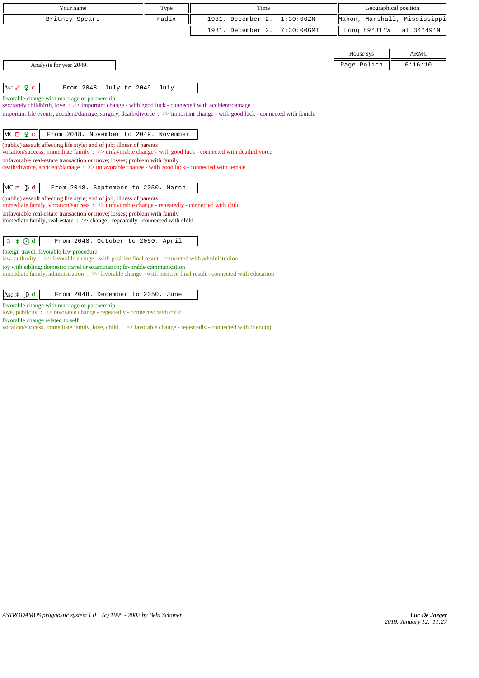| Your name                                                                                                                                                                                                                           | Type  | Time                               |             | Geographical position        |
|-------------------------------------------------------------------------------------------------------------------------------------------------------------------------------------------------------------------------------------|-------|------------------------------------|-------------|------------------------------|
| Britney Spears                                                                                                                                                                                                                      | radix | 1981. December 2.<br>1:30:00ZN     |             | Mahon, Marshall, Mississippi |
|                                                                                                                                                                                                                                     |       | 1981. December 2.<br>$7:30:00$ GMT |             | Long 89°31'W Lat 34°49'N     |
|                                                                                                                                                                                                                                     |       |                                    |             |                              |
|                                                                                                                                                                                                                                     |       |                                    | House sys   | <b>ARMC</b>                  |
| Analysis for year 2049.                                                                                                                                                                                                             |       |                                    | Page-Polich | 6:16:10                      |
|                                                                                                                                                                                                                                     |       |                                    |             |                              |
| Asc $\sqrt{2}$ $\sqrt{2}$ c<br>From 2048. July to 2049. July                                                                                                                                                                        |       |                                    |             |                              |
| favorable change with marriage or partnership                                                                                                                                                                                       |       |                                    |             |                              |
| sex/rarely childbirth, love: >> important change - with good luck - connected with accident/damage<br>important life events, accident/damage, surgery, death/divorce : >> important change - with good luck - connected with female |       |                                    |             |                              |
|                                                                                                                                                                                                                                     |       |                                    |             |                              |
| $MC \Box 9 c$<br>From 2048. November to 2049. November                                                                                                                                                                              |       |                                    |             |                              |
| (public) assault affecting life style; end of job; illness of parents                                                                                                                                                               |       |                                    |             |                              |
| vocation/success, immediate family : >> unfavorable change - with good luck - connected with death/divorce                                                                                                                          |       |                                    |             |                              |
| unfavorable real-estate transaction or move; losses; problem with family<br>death/divorce, accident/damage: >> unfavorable change - with good luck - connected with female                                                          |       |                                    |             |                              |
|                                                                                                                                                                                                                                     |       |                                    |             |                              |
| $MC \times D d$<br>From 2048. September to 2050. March                                                                                                                                                                              |       |                                    |             |                              |
| (public) assault affecting life style; end of job; illness of parents                                                                                                                                                               |       |                                    |             |                              |
| immediate family, vocation/success: >> unfavorable change - repeatedly - connected with child<br>unfavorable real-estate transaction or move; losses; problem with family                                                           |       |                                    |             |                              |
| immediate family, real-estate : >> change - repeatedly - connected with child                                                                                                                                                       |       |                                    |             |                              |
|                                                                                                                                                                                                                                     |       |                                    |             |                              |
| $3 \times Qd$<br>From 2048. October to 2050. April                                                                                                                                                                                  |       |                                    |             |                              |
| foreign travel; favorable law procedure<br>law, authority : $\gg$ favorable change - with positive final result - connected with administration                                                                                     |       |                                    |             |                              |
| joy with sibling; domestic travel or examination; favorable communication                                                                                                                                                           |       |                                    |             |                              |
| immediate family, administration : >> favorable change - with positive final result - connected with education                                                                                                                      |       |                                    |             |                              |
|                                                                                                                                                                                                                                     |       |                                    |             |                              |
| $\text{Asc} \times \text{D} d$<br>From 2048. December to 2050. June                                                                                                                                                                 |       |                                    |             |                              |

favorable change with marriage or partnership

love, publicity : >> favorable change - repeatedly - connected with child

favorable change related to self

vocation/success, immediate family, love, child : >> favorable change - repeatedly - connected with friend(s)